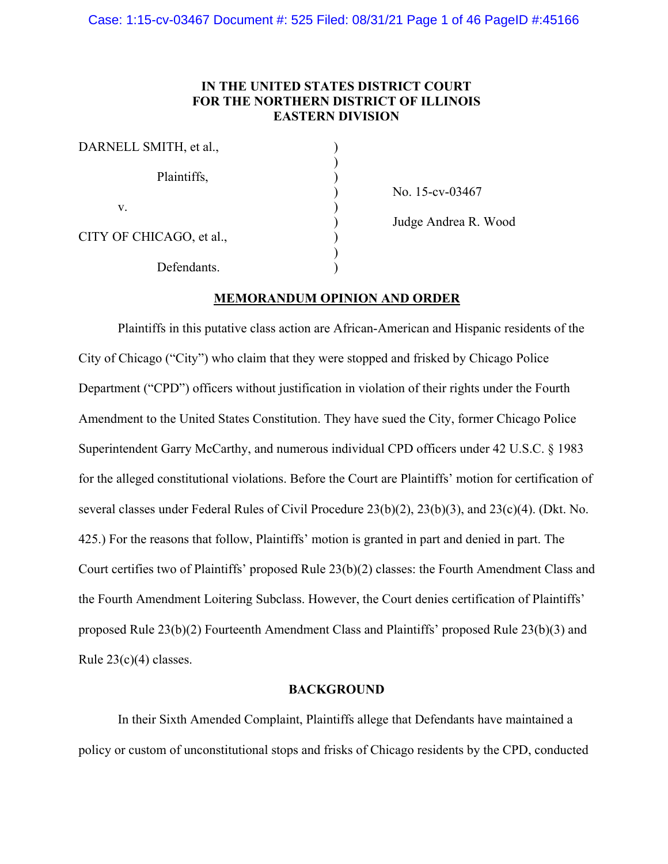## **IN THE UNITED STATES DISTRICT COURT FOR THE NORTHERN DISTRICT OF ILLINOIS EASTERN DIVISION**

| DARNELL SMITH, et al.,   |  |
|--------------------------|--|
| Plaintiffs,              |  |
| V.                       |  |
| CITY OF CHICAGO, et al., |  |
| Defendants.              |  |

) No. 15-cv-03467

) Judge Andrea R. Wood

## **MEMORANDUM OPINION AND ORDER**

Plaintiffs in this putative class action are African-American and Hispanic residents of the City of Chicago ("City") who claim that they were stopped and frisked by Chicago Police Department ("CPD") officers without justification in violation of their rights under the Fourth Amendment to the United States Constitution. They have sued the City, former Chicago Police Superintendent Garry McCarthy, and numerous individual CPD officers under 42 U.S.C. § 1983 for the alleged constitutional violations. Before the Court are Plaintiffs' motion for certification of several classes under Federal Rules of Civil Procedure 23(b)(2), 23(b)(3), and 23(c)(4). (Dkt. No. 425.) For the reasons that follow, Plaintiffs' motion is granted in part and denied in part. The Court certifies two of Plaintiffs' proposed Rule 23(b)(2) classes: the Fourth Amendment Class and the Fourth Amendment Loitering Subclass. However, the Court denies certification of Plaintiffs' proposed Rule 23(b)(2) Fourteenth Amendment Class and Plaintiffs' proposed Rule 23(b)(3) and Rule 23(c)(4) classes.

## **BACKGROUND**

In their Sixth Amended Complaint, Plaintiffs allege that Defendants have maintained a policy or custom of unconstitutional stops and frisks of Chicago residents by the CPD, conducted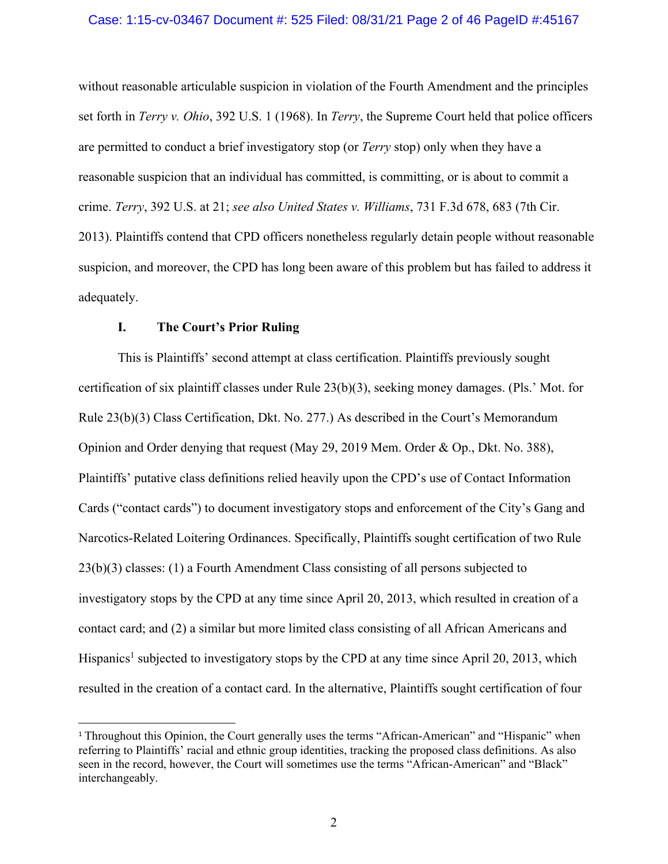#### Case: 1:15-cv-03467 Document #: 525 Filed: 08/31/21 Page 2 of 46 PageID #:45167

without reasonable articulable suspicion in violation of the Fourth Amendment and the principles set forth in *Terry v. Ohio*, 392 U.S. 1 (1968). In *Terry*, the Supreme Court held that police officers are permitted to conduct a brief investigatory stop (or *Terry* stop) only when they have a reasonable suspicion that an individual has committed, is committing, or is about to commit a crime. *Terry*, 392 U.S. at 21; *see also United States v. Williams*, 731 F.3d 678, 683 (7th Cir. 2013). Plaintiffs contend that CPD officers nonetheless regularly detain people without reasonable suspicion, and moreover, the CPD has long been aware of this problem but has failed to address it adequately.

## **I. The Court's Prior Ruling**

This is Plaintiffs' second attempt at class certification. Plaintiffs previously sought certification of six plaintiff classes under Rule 23(b)(3), seeking money damages. (Pls.' Mot. for Rule 23(b)(3) Class Certification, Dkt. No. 277.) As described in the Court's Memorandum Opinion and Order denying that request (May 29, 2019 Mem. Order & Op., Dkt. No. 388), Plaintiffs' putative class definitions relied heavily upon the CPD's use of Contact Information Cards ("contact cards") to document investigatory stops and enforcement of the City's Gang and Narcotics-Related Loitering Ordinances. Specifically, Plaintiffs sought certification of two Rule 23(b)(3) classes: (1) a Fourth Amendment Class consisting of all persons subjected to investigatory stops by the CPD at any time since April 20, 2013, which resulted in creation of a contact card; and (2) a similar but more limited class consisting of all African Americans and Hispanics<sup>1</sup> subjected to investigatory stops by the CPD at any time since April 20, 2013, which resulted in the creation of a contact card. In the alternative, Plaintiffs sought certification of four

<sup>&</sup>lt;sup>1</sup> Throughout this Opinion, the Court generally uses the terms "African-American" and "Hispanic" when referring to Plaintiffs' racial and ethnic group identities, tracking the proposed class definitions. As also seen in the record, however, the Court will sometimes use the terms "African-American" and "Black" interchangeably.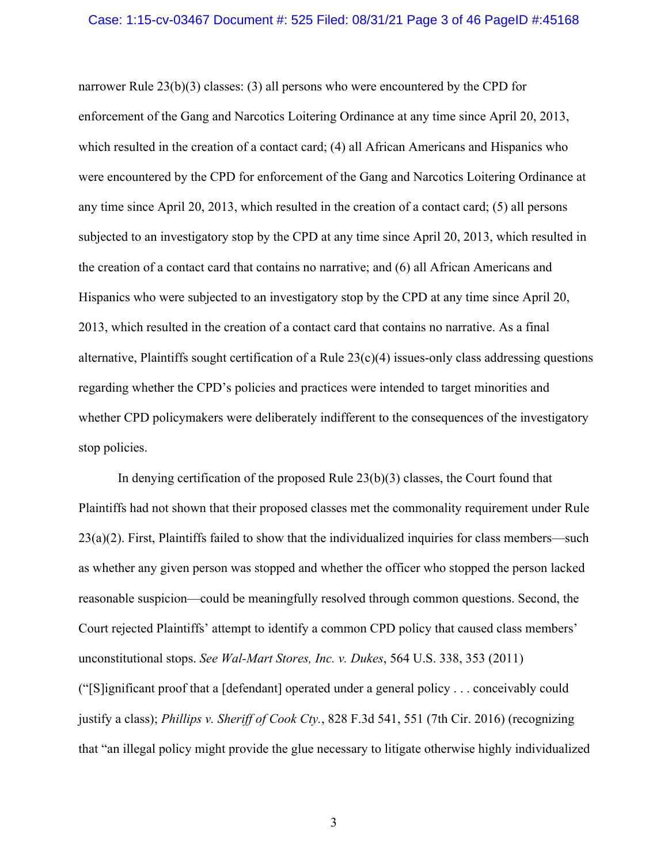#### Case: 1:15-cv-03467 Document #: 525 Filed: 08/31/21 Page 3 of 46 PageID #:45168

narrower Rule 23(b)(3) classes: (3) all persons who were encountered by the CPD for enforcement of the Gang and Narcotics Loitering Ordinance at any time since April 20, 2013, which resulted in the creation of a contact card; (4) all African Americans and Hispanics who were encountered by the CPD for enforcement of the Gang and Narcotics Loitering Ordinance at any time since April 20, 2013, which resulted in the creation of a contact card; (5) all persons subjected to an investigatory stop by the CPD at any time since April 20, 2013, which resulted in the creation of a contact card that contains no narrative; and (6) all African Americans and Hispanics who were subjected to an investigatory stop by the CPD at any time since April 20, 2013, which resulted in the creation of a contact card that contains no narrative. As a final alternative, Plaintiffs sought certification of a Rule 23(c)(4) issues-only class addressing questions regarding whether the CPD's policies and practices were intended to target minorities and whether CPD policymakers were deliberately indifferent to the consequences of the investigatory stop policies.

 In denying certification of the proposed Rule 23(b)(3) classes, the Court found that Plaintiffs had not shown that their proposed classes met the commonality requirement under Rule  $23(a)(2)$ . First, Plaintiffs failed to show that the individualized inquiries for class members—such as whether any given person was stopped and whether the officer who stopped the person lacked reasonable suspicion—could be meaningfully resolved through common questions. Second, the Court rejected Plaintiffs' attempt to identify a common CPD policy that caused class members' unconstitutional stops. *See Wal-Mart Stores, Inc. v. Dukes*, 564 U.S. 338, 353 (2011) ("[S]ignificant proof that a [defendant] operated under a general policy . . . conceivably could justify a class); *Phillips v. Sheriff of Cook Cty.*, 828 F.3d 541, 551 (7th Cir. 2016) (recognizing that "an illegal policy might provide the glue necessary to litigate otherwise highly individualized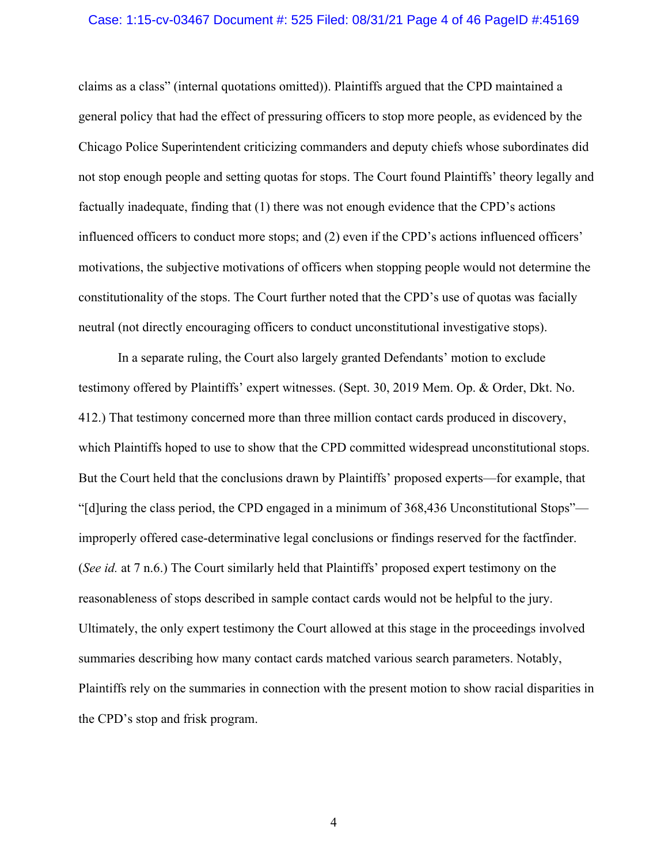#### Case: 1:15-cv-03467 Document #: 525 Filed: 08/31/21 Page 4 of 46 PageID #:45169

claims as a class" (internal quotations omitted)). Plaintiffs argued that the CPD maintained a general policy that had the effect of pressuring officers to stop more people, as evidenced by the Chicago Police Superintendent criticizing commanders and deputy chiefs whose subordinates did not stop enough people and setting quotas for stops. The Court found Plaintiffs' theory legally and factually inadequate, finding that (1) there was not enough evidence that the CPD's actions influenced officers to conduct more stops; and (2) even if the CPD's actions influenced officers' motivations, the subjective motivations of officers when stopping people would not determine the constitutionality of the stops. The Court further noted that the CPD's use of quotas was facially neutral (not directly encouraging officers to conduct unconstitutional investigative stops).

 In a separate ruling, the Court also largely granted Defendants' motion to exclude testimony offered by Plaintiffs' expert witnesses. (Sept. 30, 2019 Mem. Op. & Order, Dkt. No. 412.) That testimony concerned more than three million contact cards produced in discovery, which Plaintiffs hoped to use to show that the CPD committed widespread unconstitutional stops. But the Court held that the conclusions drawn by Plaintiffs' proposed experts—for example, that "[d]uring the class period, the CPD engaged in a minimum of 368,436 Unconstitutional Stops" improperly offered case-determinative legal conclusions or findings reserved for the factfinder. (*See id.* at 7 n.6.) The Court similarly held that Plaintiffs' proposed expert testimony on the reasonableness of stops described in sample contact cards would not be helpful to the jury. Ultimately, the only expert testimony the Court allowed at this stage in the proceedings involved summaries describing how many contact cards matched various search parameters. Notably, Plaintiffs rely on the summaries in connection with the present motion to show racial disparities in the CPD's stop and frisk program.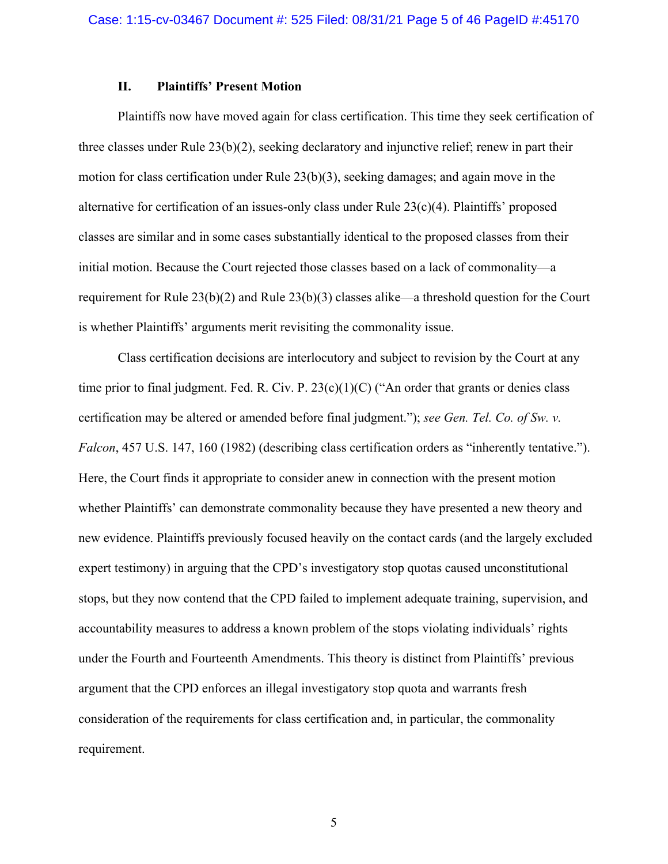## **II. Plaintiffs' Present Motion**

Plaintiffs now have moved again for class certification. This time they seek certification of three classes under Rule  $23(b)(2)$ , seeking declaratory and injunctive relief; renew in part their motion for class certification under Rule 23(b)(3), seeking damages; and again move in the alternative for certification of an issues-only class under Rule 23(c)(4). Plaintiffs' proposed classes are similar and in some cases substantially identical to the proposed classes from their initial motion. Because the Court rejected those classes based on a lack of commonality—a requirement for Rule 23(b)(2) and Rule 23(b)(3) classes alike—a threshold question for the Court is whether Plaintiffs' arguments merit revisiting the commonality issue.

Class certification decisions are interlocutory and subject to revision by the Court at any time prior to final judgment. Fed. R. Civ. P. 23(c)(1)(C) ("An order that grants or denies class certification may be altered or amended before final judgment."); *see Gen. Tel. Co. of Sw. v. Falcon*, 457 U.S. 147, 160 (1982) (describing class certification orders as "inherently tentative."). Here, the Court finds it appropriate to consider anew in connection with the present motion whether Plaintiffs' can demonstrate commonality because they have presented a new theory and new evidence. Plaintiffs previously focused heavily on the contact cards (and the largely excluded expert testimony) in arguing that the CPD's investigatory stop quotas caused unconstitutional stops, but they now contend that the CPD failed to implement adequate training, supervision, and accountability measures to address a known problem of the stops violating individuals' rights under the Fourth and Fourteenth Amendments. This theory is distinct from Plaintiffs' previous argument that the CPD enforces an illegal investigatory stop quota and warrants fresh consideration of the requirements for class certification and, in particular, the commonality requirement.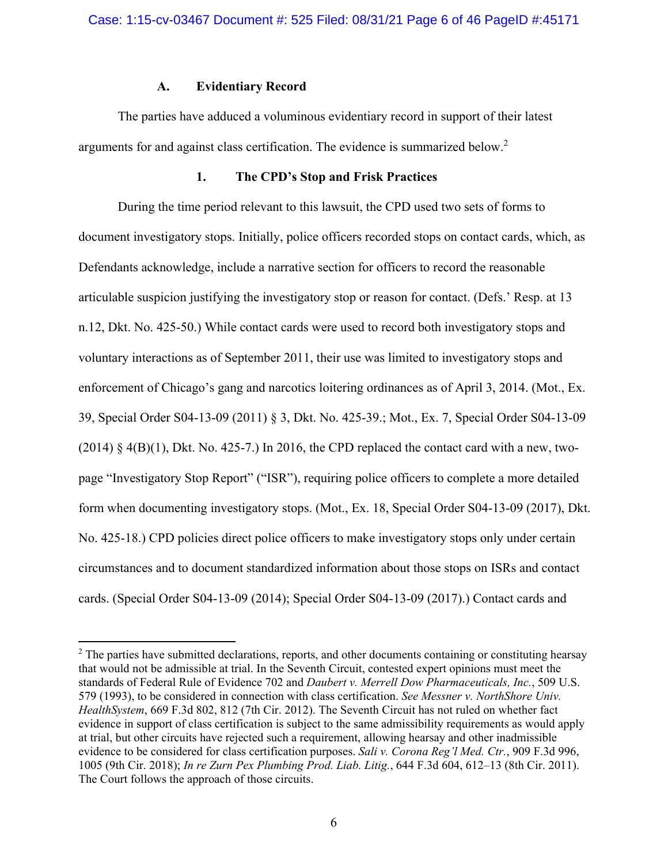## **A. Evidentiary Record**

The parties have adduced a voluminous evidentiary record in support of their latest arguments for and against class certification. The evidence is summarized below.<sup>2</sup>

## **1. The CPD's Stop and Frisk Practices**

During the time period relevant to this lawsuit, the CPD used two sets of forms to document investigatory stops. Initially, police officers recorded stops on contact cards, which, as Defendants acknowledge, include a narrative section for officers to record the reasonable articulable suspicion justifying the investigatory stop or reason for contact. (Defs.' Resp. at 13 n.12, Dkt. No. 425-50.) While contact cards were used to record both investigatory stops and voluntary interactions as of September 2011, their use was limited to investigatory stops and enforcement of Chicago's gang and narcotics loitering ordinances as of April 3, 2014. (Mot., Ex. 39, Special Order S04-13-09 (2011) § 3, Dkt. No. 425-39.; Mot., Ex. 7, Special Order S04-13-09  $(2014)$  § 4(B)(1), Dkt. No. 425-7.) In 2016, the CPD replaced the contact card with a new, twopage "Investigatory Stop Report" ("ISR"), requiring police officers to complete a more detailed form when documenting investigatory stops. (Mot., Ex. 18, Special Order S04-13-09 (2017), Dkt. No. 425-18.) CPD policies direct police officers to make investigatory stops only under certain circumstances and to document standardized information about those stops on ISRs and contact cards. (Special Order S04-13-09 (2014); Special Order S04-13-09 (2017).) Contact cards and

 $2$  The parties have submitted declarations, reports, and other documents containing or constituting hearsay that would not be admissible at trial. In the Seventh Circuit, contested expert opinions must meet the standards of Federal Rule of Evidence 702 and *Daubert v. Merrell Dow Pharmaceuticals, Inc.*, 509 U.S. 579 (1993), to be considered in connection with class certification. *See Messner v. NorthShore Univ. HealthSystem*, 669 F.3d 802, 812 (7th Cir. 2012). The Seventh Circuit has not ruled on whether fact evidence in support of class certification is subject to the same admissibility requirements as would apply at trial, but other circuits have rejected such a requirement, allowing hearsay and other inadmissible evidence to be considered for class certification purposes. *Sali v. Corona Reg'l Med. Ctr.*, 909 F.3d 996, 1005 (9th Cir. 2018); *In re Zurn Pex Plumbing Prod. Liab. Litig.*, 644 F.3d 604, 612–13 (8th Cir. 2011). The Court follows the approach of those circuits.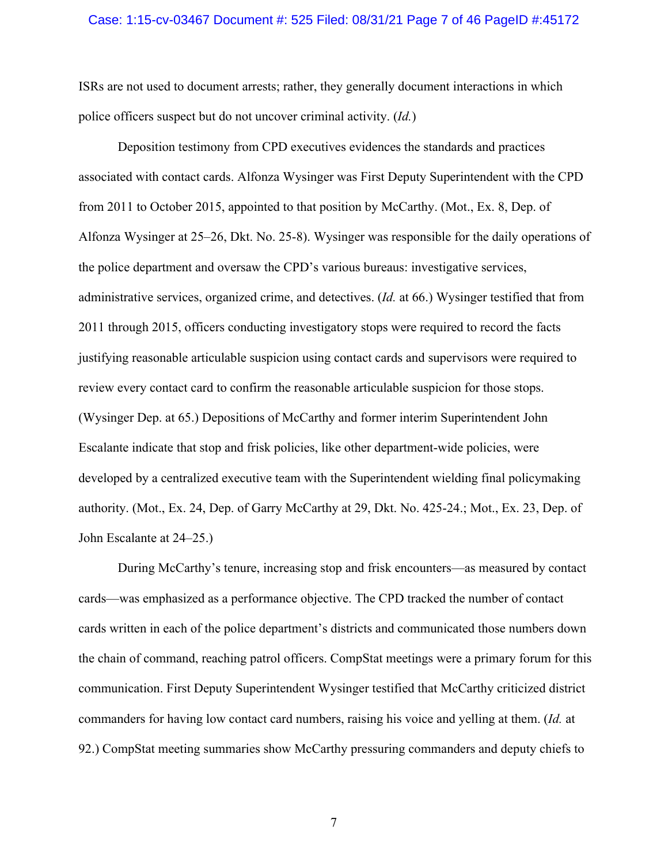#### Case: 1:15-cv-03467 Document #: 525 Filed: 08/31/21 Page 7 of 46 PageID #:45172

ISRs are not used to document arrests; rather, they generally document interactions in which police officers suspect but do not uncover criminal activity. (*Id.*)

 Deposition testimony from CPD executives evidences the standards and practices associated with contact cards. Alfonza Wysinger was First Deputy Superintendent with the CPD from 2011 to October 2015, appointed to that position by McCarthy. (Mot., Ex. 8, Dep. of Alfonza Wysinger at 25–26, Dkt. No. 25-8). Wysinger was responsible for the daily operations of the police department and oversaw the CPD's various bureaus: investigative services, administrative services, organized crime, and detectives. (*Id.* at 66.) Wysinger testified that from 2011 through 2015, officers conducting investigatory stops were required to record the facts justifying reasonable articulable suspicion using contact cards and supervisors were required to review every contact card to confirm the reasonable articulable suspicion for those stops. (Wysinger Dep. at 65.) Depositions of McCarthy and former interim Superintendent John Escalante indicate that stop and frisk policies, like other department-wide policies, were developed by a centralized executive team with the Superintendent wielding final policymaking authority. (Mot., Ex. 24, Dep. of Garry McCarthy at 29, Dkt. No. 425-24.; Mot., Ex. 23, Dep. of John Escalante at 24–25.)

 During McCarthy's tenure, increasing stop and frisk encounters—as measured by contact cards—was emphasized as a performance objective. The CPD tracked the number of contact cards written in each of the police department's districts and communicated those numbers down the chain of command, reaching patrol officers. CompStat meetings were a primary forum for this communication. First Deputy Superintendent Wysinger testified that McCarthy criticized district commanders for having low contact card numbers, raising his voice and yelling at them. (*Id.* at 92.) CompStat meeting summaries show McCarthy pressuring commanders and deputy chiefs to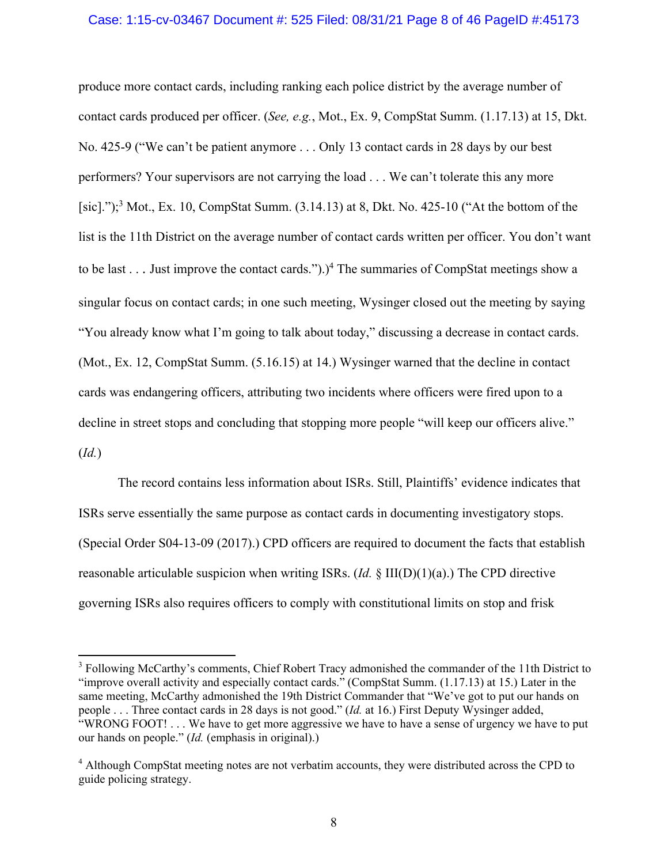### Case: 1:15-cv-03467 Document #: 525 Filed: 08/31/21 Page 8 of 46 PageID #:45173

produce more contact cards, including ranking each police district by the average number of contact cards produced per officer. (*See, e.g.*, Mot., Ex. 9, CompStat Summ. (1.17.13) at 15, Dkt. No. 425-9 ("We can't be patient anymore . . . Only 13 contact cards in 28 days by our best performers? Your supervisors are not carrying the load . . . We can't tolerate this any more [sic].");<sup>3</sup> Mot., Ex. 10, CompStat Summ. (3.14.13) at 8, Dkt. No. 425-10 ("At the bottom of the list is the 11th District on the average number of contact cards written per officer. You don't want to be last . . . Just improve the contact cards.").)<sup>4</sup> The summaries of CompStat meetings show a singular focus on contact cards; in one such meeting, Wysinger closed out the meeting by saying "You already know what I'm going to talk about today," discussing a decrease in contact cards. (Mot., Ex. 12, CompStat Summ. (5.16.15) at 14.) Wysinger warned that the decline in contact cards was endangering officers, attributing two incidents where officers were fired upon to a decline in street stops and concluding that stopping more people "will keep our officers alive." (*Id.*)

 The record contains less information about ISRs. Still, Plaintiffs' evidence indicates that ISRs serve essentially the same purpose as contact cards in documenting investigatory stops. (Special Order S04-13-09 (2017).) CPD officers are required to document the facts that establish reasonable articulable suspicion when writing ISRs. (*Id.* § III(D)(1)(a).) The CPD directive governing ISRs also requires officers to comply with constitutional limits on stop and frisk

<sup>&</sup>lt;sup>3</sup> Following McCarthy's comments, Chief Robert Tracy admonished the commander of the 11th District to "improve overall activity and especially contact cards." (CompStat Summ. (1.17.13) at 15.) Later in the same meeting, McCarthy admonished the 19th District Commander that "We've got to put our hands on people . . . Three contact cards in 28 days is not good." (*Id.* at 16.) First Deputy Wysinger added, "WRONG FOOT! . . . We have to get more aggressive we have to have a sense of urgency we have to put our hands on people." (*Id.* (emphasis in original).)

<sup>&</sup>lt;sup>4</sup> Although CompStat meeting notes are not verbatim accounts, they were distributed across the CPD to guide policing strategy.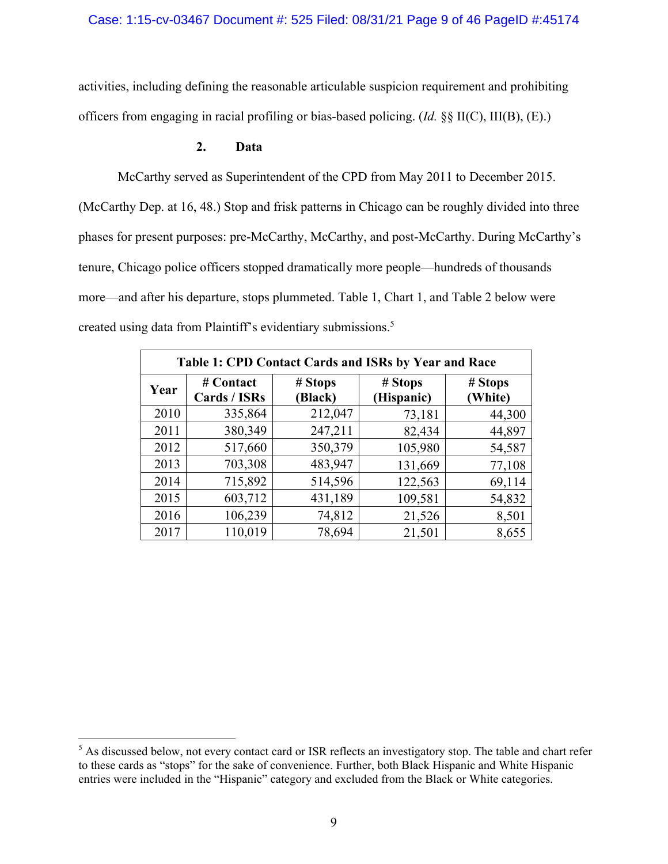## Case: 1:15-cv-03467 Document #: 525 Filed: 08/31/21 Page 9 of 46 PageID #:45174

activities, including defining the reasonable articulable suspicion requirement and prohibiting officers from engaging in racial profiling or bias-based policing. (*Id.* §§ II(C), III(B), (E).)

## **2. Data**

McCarthy served as Superintendent of the CPD from May 2011 to December 2015. (McCarthy Dep. at 16, 48.) Stop and frisk patterns in Chicago can be roughly divided into three phases for present purposes: pre-McCarthy, McCarthy, and post-McCarthy. During McCarthy's tenure, Chicago police officers stopped dramatically more people—hundreds of thousands more—and after his departure, stops plummeted. Table 1, Chart 1, and Table 2 below were created using data from Plaintiff's evidentiary submissions.<sup>5</sup>

| Table 1: CPD Contact Cards and ISRs by Year and Race |                           |                    |                       |                    |  |  |
|------------------------------------------------------|---------------------------|--------------------|-----------------------|--------------------|--|--|
| Year                                                 | # Contact<br>Cards / ISRs | # Stops<br>(Black) | # Stops<br>(Hispanic) | # Stops<br>(White) |  |  |
| 2010                                                 | 335,864                   | 212,047            | 73,181                | 44,300             |  |  |
| 2011                                                 | 380,349                   | 247,211            | 82,434                | 44,897             |  |  |
| 2012                                                 | 517,660                   | 350,379            | 105,980               | 54,587             |  |  |
| 2013                                                 | 703,308                   | 483,947            | 131,669               | 77,108             |  |  |
| 2014                                                 | 715,892                   | 514,596            | 122,563               | 69,114             |  |  |
| 2015                                                 | 603,712                   | 431,189            | 109,581               | 54,832             |  |  |
| 2016                                                 | 106,239                   | 74,812             | 21,526                | 8,501              |  |  |
| 2017                                                 | 110,019                   | 78,694             | 21,501                | 8,655              |  |  |

<sup>&</sup>lt;sup>5</sup> As discussed below, not every contact card or ISR reflects an investigatory stop. The table and chart refer to these cards as "stops" for the sake of convenience. Further, both Black Hispanic and White Hispanic entries were included in the "Hispanic" category and excluded from the Black or White categories.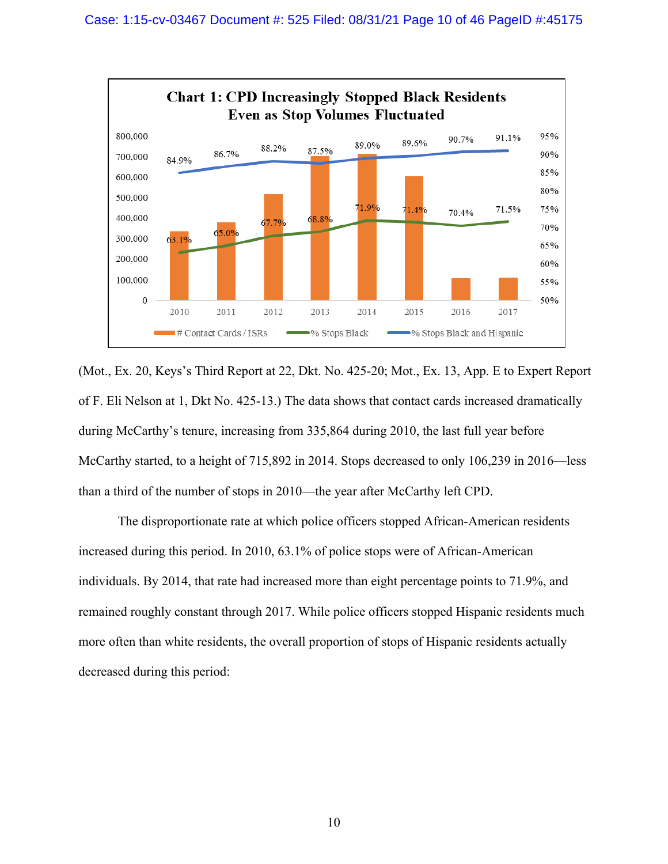

(Mot., Ex. 20, Keys's Third Report at 22, Dkt. No. 425-20; Mot., Ex. 13, App. E to Expert Report of F. Eli Nelson at 1, Dkt No. 425-13.) The data shows that contact cards increased dramatically during McCarthy's tenure, increasing from 335,864 during 2010, the last full year before McCarthy started, to a height of 715,892 in 2014. Stops decreased to only 106,239 in 2016—less than a third of the number of stops in 2010—the year after McCarthy left CPD.

 The disproportionate rate at which police officers stopped African-American residents increased during this period. In 2010, 63.1% of police stops were of African-American individuals. By 2014, that rate had increased more than eight percentage points to 71.9%, and remained roughly constant through 2017. While police officers stopped Hispanic residents much more often than white residents, the overall proportion of stops of Hispanic residents actually decreased during this period: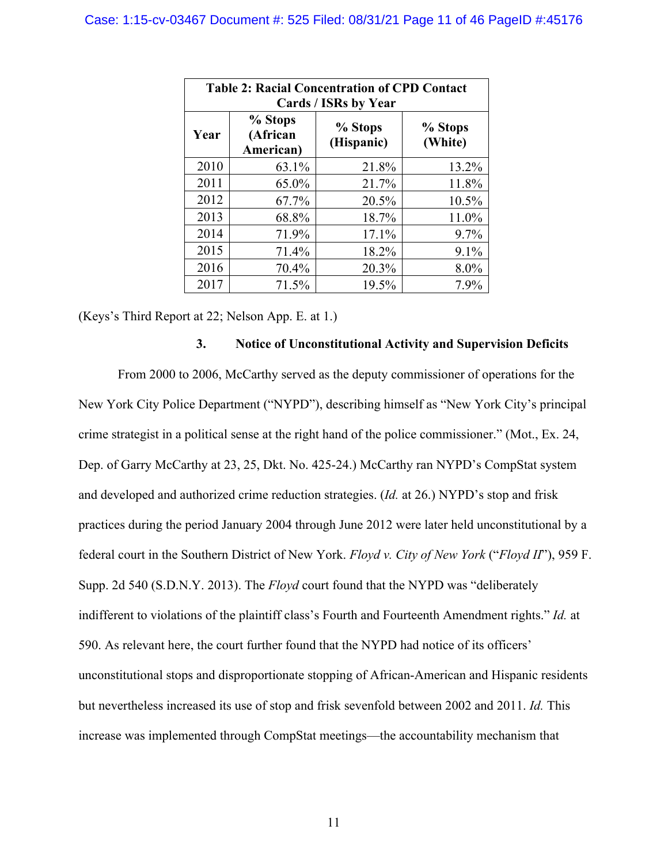| <b>Table 2: Racial Concentration of CPD Contact</b><br>Cards / ISRs by Year |                                  |                       |                    |  |  |  |
|-----------------------------------------------------------------------------|----------------------------------|-----------------------|--------------------|--|--|--|
| Year                                                                        | % Stops<br>(African<br>American) | % Stops<br>(Hispanic) | % Stops<br>(White) |  |  |  |
| 2010                                                                        | 63.1%                            | 21.8%                 | 13.2%              |  |  |  |
| 2011                                                                        | 65.0%                            | 21.7%                 | 11.8%              |  |  |  |
| 2012                                                                        | 67.7%                            | 20.5%                 | 10.5%              |  |  |  |
| 2013                                                                        | 68.8%                            | 18.7%                 | 11.0%              |  |  |  |
| 2014                                                                        | 71.9%                            | 17.1%                 | $9.7\%$            |  |  |  |
| 2015                                                                        | 71.4%                            | 18.2%                 | 9.1%               |  |  |  |
| 2016                                                                        | 70.4%                            | 20.3%                 | 8.0%               |  |  |  |
| 2017                                                                        | 71.5%                            | 19.5%                 | 7.9%               |  |  |  |

(Keys's Third Report at 22; Nelson App. E. at 1.)

## **3. Notice of Unconstitutional Activity and Supervision Deficits**

From 2000 to 2006, McCarthy served as the deputy commissioner of operations for the New York City Police Department ("NYPD"), describing himself as "New York City's principal crime strategist in a political sense at the right hand of the police commissioner." (Mot., Ex. 24, Dep. of Garry McCarthy at 23, 25, Dkt. No. 425-24.) McCarthy ran NYPD's CompStat system and developed and authorized crime reduction strategies. (*Id.* at 26.) NYPD's stop and frisk practices during the period January 2004 through June 2012 were later held unconstitutional by a federal court in the Southern District of New York. *Floyd v. City of New York* ("*Floyd II*"), 959 F. Supp. 2d 540 (S.D.N.Y. 2013). The *Floyd* court found that the NYPD was "deliberately indifferent to violations of the plaintiff class's Fourth and Fourteenth Amendment rights." *Id.* at 590. As relevant here, the court further found that the NYPD had notice of its officers' unconstitutional stops and disproportionate stopping of African-American and Hispanic residents but nevertheless increased its use of stop and frisk sevenfold between 2002 and 2011. *Id.* This increase was implemented through CompStat meetings—the accountability mechanism that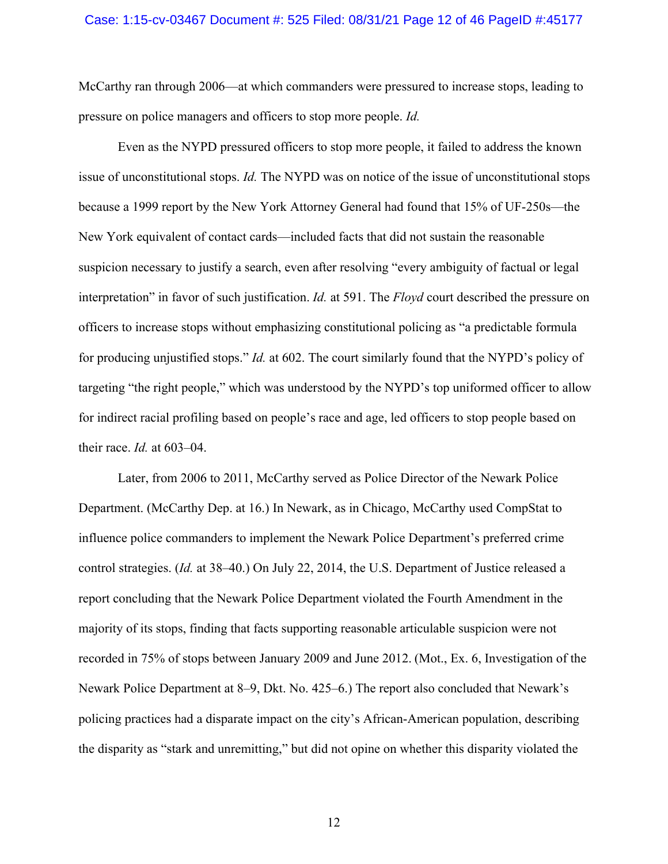#### Case: 1:15-cv-03467 Document #: 525 Filed: 08/31/21 Page 12 of 46 PageID #:45177

McCarthy ran through 2006—at which commanders were pressured to increase stops, leading to pressure on police managers and officers to stop more people. *Id.* 

Even as the NYPD pressured officers to stop more people, it failed to address the known issue of unconstitutional stops. *Id.* The NYPD was on notice of the issue of unconstitutional stops because a 1999 report by the New York Attorney General had found that 15% of UF-250s—the New York equivalent of contact cards—included facts that did not sustain the reasonable suspicion necessary to justify a search, even after resolving "every ambiguity of factual or legal interpretation" in favor of such justification. *Id.* at 591. The *Floyd* court described the pressure on officers to increase stops without emphasizing constitutional policing as "a predictable formula for producing unjustified stops." *Id.* at 602. The court similarly found that the NYPD's policy of targeting "the right people," which was understood by the NYPD's top uniformed officer to allow for indirect racial profiling based on people's race and age, led officers to stop people based on their race. *Id.* at 603–04.

Later, from 2006 to 2011, McCarthy served as Police Director of the Newark Police Department. (McCarthy Dep. at 16.) In Newark, as in Chicago, McCarthy used CompStat to influence police commanders to implement the Newark Police Department's preferred crime control strategies. (*Id.* at 38–40.) On July 22, 2014, the U.S. Department of Justice released a report concluding that the Newark Police Department violated the Fourth Amendment in the majority of its stops, finding that facts supporting reasonable articulable suspicion were not recorded in 75% of stops between January 2009 and June 2012. (Mot., Ex. 6, Investigation of the Newark Police Department at 8–9, Dkt. No. 425–6.) The report also concluded that Newark's policing practices had a disparate impact on the city's African-American population, describing the disparity as "stark and unremitting," but did not opine on whether this disparity violated the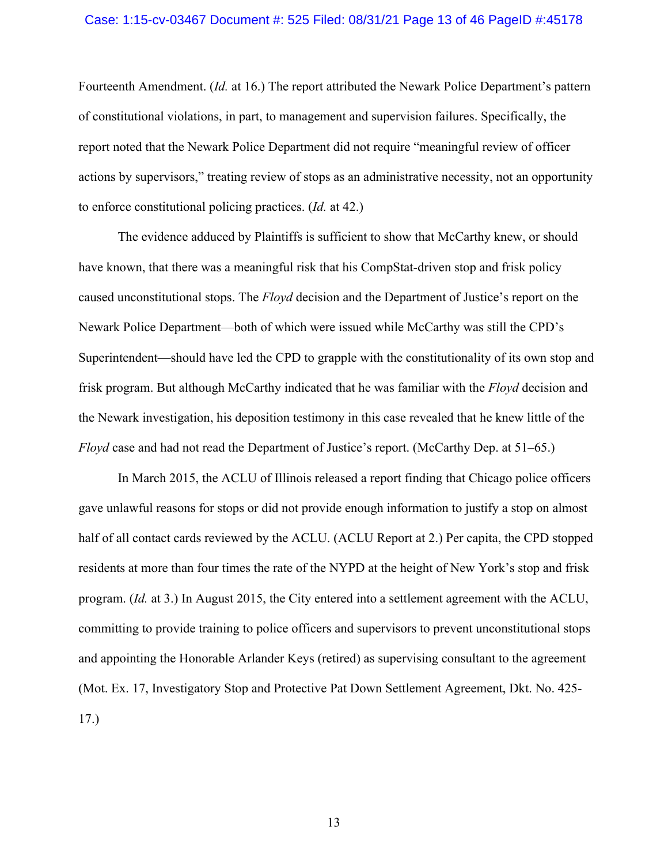#### Case: 1:15-cv-03467 Document #: 525 Filed: 08/31/21 Page 13 of 46 PageID #:45178

Fourteenth Amendment. (*Id.* at 16.) The report attributed the Newark Police Department's pattern of constitutional violations, in part, to management and supervision failures. Specifically, the report noted that the Newark Police Department did not require "meaningful review of officer actions by supervisors," treating review of stops as an administrative necessity, not an opportunity to enforce constitutional policing practices. (*Id.* at 42.)

 The evidence adduced by Plaintiffs is sufficient to show that McCarthy knew, or should have known, that there was a meaningful risk that his CompStat-driven stop and frisk policy caused unconstitutional stops. The *Floyd* decision and the Department of Justice's report on the Newark Police Department—both of which were issued while McCarthy was still the CPD's Superintendent—should have led the CPD to grapple with the constitutionality of its own stop and frisk program. But although McCarthy indicated that he was familiar with the *Floyd* decision and the Newark investigation, his deposition testimony in this case revealed that he knew little of the *Floyd* case and had not read the Department of Justice's report. (McCarthy Dep. at 51–65.)

 In March 2015, the ACLU of Illinois released a report finding that Chicago police officers gave unlawful reasons for stops or did not provide enough information to justify a stop on almost half of all contact cards reviewed by the ACLU. (ACLU Report at 2.) Per capita, the CPD stopped residents at more than four times the rate of the NYPD at the height of New York's stop and frisk program. (*Id.* at 3.) In August 2015, the City entered into a settlement agreement with the ACLU, committing to provide training to police officers and supervisors to prevent unconstitutional stops and appointing the Honorable Arlander Keys (retired) as supervising consultant to the agreement (Mot. Ex. 17, Investigatory Stop and Protective Pat Down Settlement Agreement, Dkt. No. 425- 17.)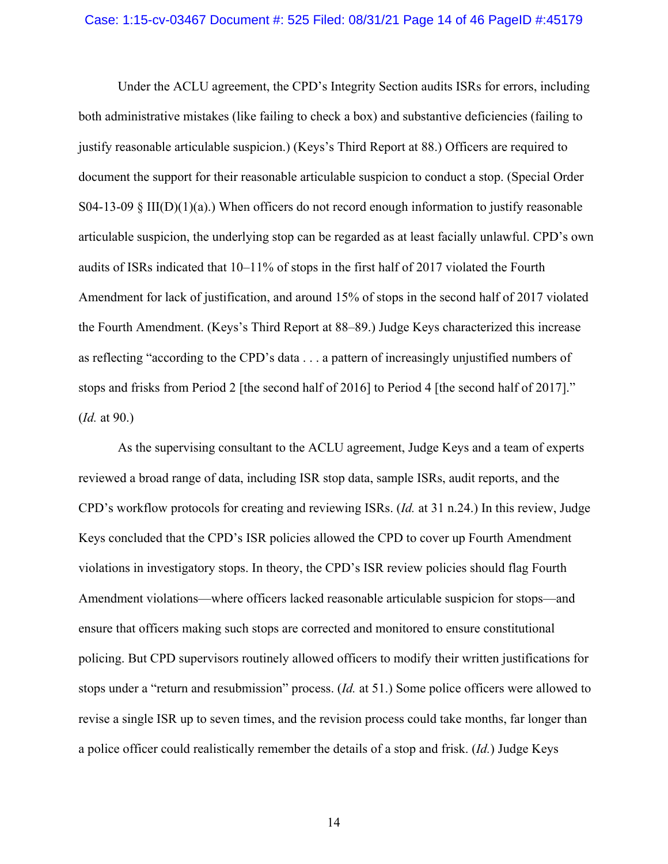#### Case: 1:15-cv-03467 Document #: 525 Filed: 08/31/21 Page 14 of 46 PageID #:45179

 Under the ACLU agreement, the CPD's Integrity Section audits ISRs for errors, including both administrative mistakes (like failing to check a box) and substantive deficiencies (failing to justify reasonable articulable suspicion.) (Keys's Third Report at 88.) Officers are required to document the support for their reasonable articulable suspicion to conduct a stop. (Special Order S04-13-09 § III(D)(1)(a).) When officers do not record enough information to justify reasonable articulable suspicion, the underlying stop can be regarded as at least facially unlawful. CPD's own audits of ISRs indicated that 10–11% of stops in the first half of 2017 violated the Fourth Amendment for lack of justification, and around 15% of stops in the second half of 2017 violated the Fourth Amendment. (Keys's Third Report at 88–89.) Judge Keys characterized this increase as reflecting "according to the CPD's data . . . a pattern of increasingly unjustified numbers of stops and frisks from Period 2 [the second half of 2016] to Period 4 [the second half of 2017]." (*Id.* at 90.)

 As the supervising consultant to the ACLU agreement, Judge Keys and a team of experts reviewed a broad range of data, including ISR stop data, sample ISRs, audit reports, and the CPD's workflow protocols for creating and reviewing ISRs. (*Id.* at 31 n.24.) In this review, Judge Keys concluded that the CPD's ISR policies allowed the CPD to cover up Fourth Amendment violations in investigatory stops. In theory, the CPD's ISR review policies should flag Fourth Amendment violations—where officers lacked reasonable articulable suspicion for stops—and ensure that officers making such stops are corrected and monitored to ensure constitutional policing. But CPD supervisors routinely allowed officers to modify their written justifications for stops under a "return and resubmission" process. (*Id.* at 51.) Some police officers were allowed to revise a single ISR up to seven times, and the revision process could take months, far longer than a police officer could realistically remember the details of a stop and frisk. (*Id.*) Judge Keys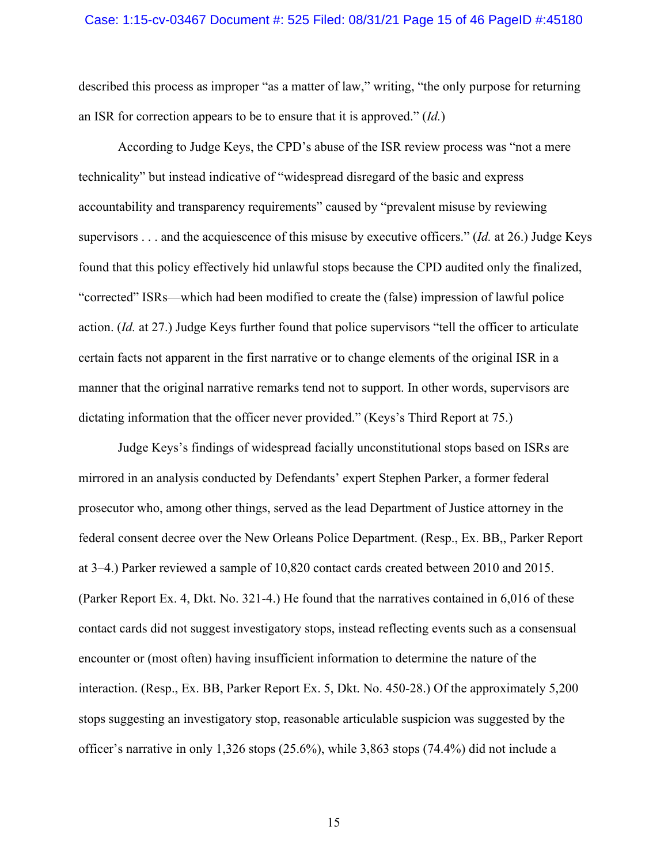#### Case: 1:15-cv-03467 Document #: 525 Filed: 08/31/21 Page 15 of 46 PageID #:45180

described this process as improper "as a matter of law," writing, "the only purpose for returning an ISR for correction appears to be to ensure that it is approved." (*Id.*)

 According to Judge Keys, the CPD's abuse of the ISR review process was "not a mere technicality" but instead indicative of "widespread disregard of the basic and express accountability and transparency requirements" caused by "prevalent misuse by reviewing supervisors . . . and the acquiescence of this misuse by executive officers." (*Id.* at 26.) Judge Keys found that this policy effectively hid unlawful stops because the CPD audited only the finalized, "corrected" ISRs—which had been modified to create the (false) impression of lawful police action. (*Id.* at 27.) Judge Keys further found that police supervisors "tell the officer to articulate certain facts not apparent in the first narrative or to change elements of the original ISR in a manner that the original narrative remarks tend not to support. In other words, supervisors are dictating information that the officer never provided." (Keys's Third Report at 75.)

 Judge Keys's findings of widespread facially unconstitutional stops based on ISRs are mirrored in an analysis conducted by Defendants' expert Stephen Parker, a former federal prosecutor who, among other things, served as the lead Department of Justice attorney in the federal consent decree over the New Orleans Police Department. (Resp., Ex. BB,, Parker Report at 3–4.) Parker reviewed a sample of 10,820 contact cards created between 2010 and 2015. (Parker Report Ex. 4, Dkt. No. 321-4.) He found that the narratives contained in 6,016 of these contact cards did not suggest investigatory stops, instead reflecting events such as a consensual encounter or (most often) having insufficient information to determine the nature of the interaction. (Resp., Ex. BB, Parker Report Ex. 5, Dkt. No. 450-28.) Of the approximately 5,200 stops suggesting an investigatory stop, reasonable articulable suspicion was suggested by the officer's narrative in only 1,326 stops (25.6%), while 3,863 stops (74.4%) did not include a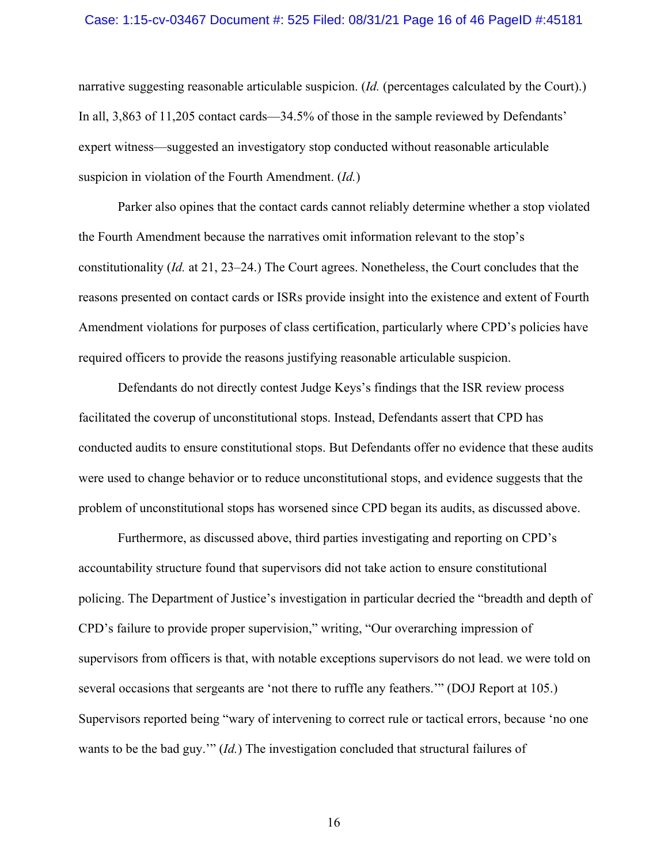#### Case: 1:15-cv-03467 Document #: 525 Filed: 08/31/21 Page 16 of 46 PageID #:45181

narrative suggesting reasonable articulable suspicion. (*Id.* (percentages calculated by the Court).) In all, 3,863 of 11,205 contact cards—34.5% of those in the sample reviewed by Defendants' expert witness—suggested an investigatory stop conducted without reasonable articulable suspicion in violation of the Fourth Amendment. (*Id.*)

 Parker also opines that the contact cards cannot reliably determine whether a stop violated the Fourth Amendment because the narratives omit information relevant to the stop's constitutionality (*Id.* at 21, 23–24.) The Court agrees. Nonetheless, the Court concludes that the reasons presented on contact cards or ISRs provide insight into the existence and extent of Fourth Amendment violations for purposes of class certification, particularly where CPD's policies have required officers to provide the reasons justifying reasonable articulable suspicion.

 Defendants do not directly contest Judge Keys's findings that the ISR review process facilitated the coverup of unconstitutional stops. Instead, Defendants assert that CPD has conducted audits to ensure constitutional stops. But Defendants offer no evidence that these audits were used to change behavior or to reduce unconstitutional stops, and evidence suggests that the problem of unconstitutional stops has worsened since CPD began its audits, as discussed above.

 Furthermore, as discussed above, third parties investigating and reporting on CPD's accountability structure found that supervisors did not take action to ensure constitutional policing. The Department of Justice's investigation in particular decried the "breadth and depth of CPD's failure to provide proper supervision," writing, "Our overarching impression of supervisors from officers is that, with notable exceptions supervisors do not lead. we were told on several occasions that sergeants are 'not there to ruffle any feathers.'" (DOJ Report at 105.) Supervisors reported being "wary of intervening to correct rule or tactical errors, because 'no one wants to be the bad guy.'" (*Id.*) The investigation concluded that structural failures of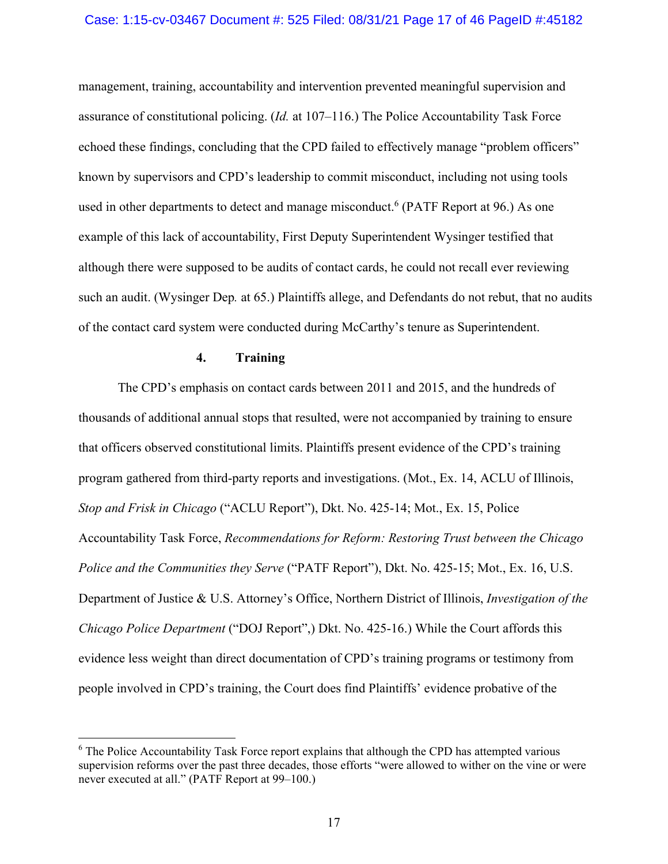#### Case: 1:15-cv-03467 Document #: 525 Filed: 08/31/21 Page 17 of 46 PageID #:45182

management, training, accountability and intervention prevented meaningful supervision and assurance of constitutional policing. (*Id.* at 107–116.) The Police Accountability Task Force echoed these findings, concluding that the CPD failed to effectively manage "problem officers" known by supervisors and CPD's leadership to commit misconduct, including not using tools used in other departments to detect and manage misconduct.<sup>6</sup> (PATF Report at 96.) As one example of this lack of accountability, First Deputy Superintendent Wysinger testified that although there were supposed to be audits of contact cards, he could not recall ever reviewing such an audit. (Wysinger Dep*.* at 65.) Plaintiffs allege, and Defendants do not rebut, that no audits of the contact card system were conducted during McCarthy's tenure as Superintendent.

## **4. Training**

 The CPD's emphasis on contact cards between 2011 and 2015, and the hundreds of thousands of additional annual stops that resulted, were not accompanied by training to ensure that officers observed constitutional limits. Plaintiffs present evidence of the CPD's training program gathered from third-party reports and investigations. (Mot., Ex. 14, ACLU of Illinois, *Stop and Frisk in Chicago* ("ACLU Report"), Dkt. No. 425-14; Mot., Ex. 15, Police Accountability Task Force, *Recommendations for Reform: Restoring Trust between the Chicago Police and the Communities they Serve* ("PATF Report"), Dkt. No. 425-15; Mot., Ex. 16, U.S. Department of Justice & U.S. Attorney's Office, Northern District of Illinois, *Investigation of the Chicago Police Department* ("DOJ Report",) Dkt. No. 425-16.) While the Court affords this evidence less weight than direct documentation of CPD's training programs or testimony from people involved in CPD's training, the Court does find Plaintiffs' evidence probative of the

 $6$  The Police Accountability Task Force report explains that although the CPD has attempted various supervision reforms over the past three decades, those efforts "were allowed to wither on the vine or were never executed at all." (PATF Report at 99–100.)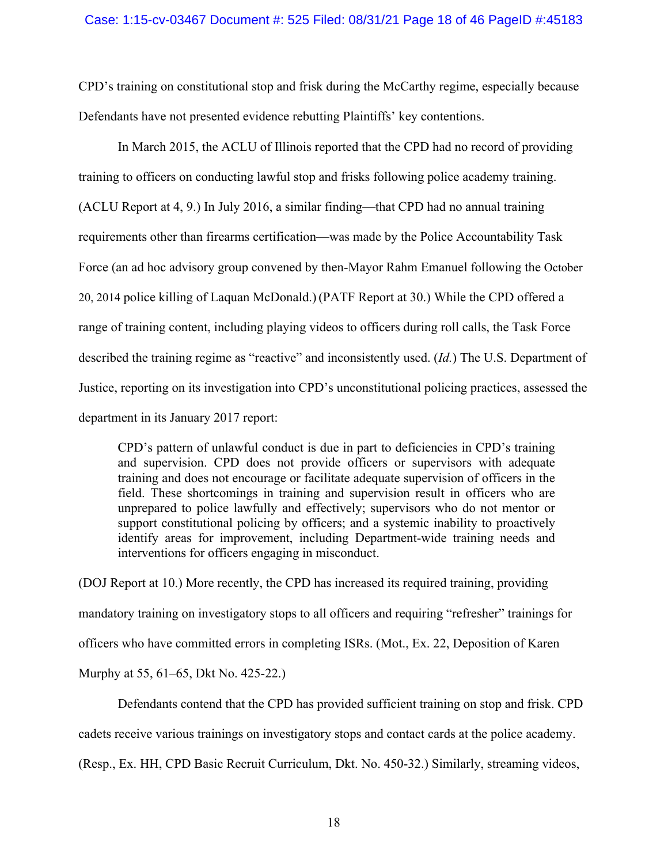CPD's training on constitutional stop and frisk during the McCarthy regime, especially because Defendants have not presented evidence rebutting Plaintiffs' key contentions.

 In March 2015, the ACLU of Illinois reported that the CPD had no record of providing training to officers on conducting lawful stop and frisks following police academy training. (ACLU Report at 4, 9.) In July 2016, a similar finding—that CPD had no annual training requirements other than firearms certification—was made by the Police Accountability Task Force (an ad hoc advisory group convened by then-Mayor Rahm Emanuel following the October 20, 2014 police killing of Laquan McDonald.) (PATF Report at 30.) While the CPD offered a range of training content, including playing videos to officers during roll calls, the Task Force described the training regime as "reactive" and inconsistently used. (*Id.*) The U.S. Department of Justice, reporting on its investigation into CPD's unconstitutional policing practices, assessed the department in its January 2017 report:

CPD's pattern of unlawful conduct is due in part to deficiencies in CPD's training and supervision. CPD does not provide officers or supervisors with adequate training and does not encourage or facilitate adequate supervision of officers in the field. These shortcomings in training and supervision result in officers who are unprepared to police lawfully and effectively; supervisors who do not mentor or support constitutional policing by officers; and a systemic inability to proactively identify areas for improvement, including Department-wide training needs and interventions for officers engaging in misconduct.

(DOJ Report at 10.) More recently, the CPD has increased its required training, providing mandatory training on investigatory stops to all officers and requiring "refresher" trainings for officers who have committed errors in completing ISRs. (Mot., Ex. 22, Deposition of Karen Murphy at 55, 61–65, Dkt No. 425-22.)

 Defendants contend that the CPD has provided sufficient training on stop and frisk. CPD cadets receive various trainings on investigatory stops and contact cards at the police academy. (Resp., Ex. HH, CPD Basic Recruit Curriculum, Dkt. No. 450-32.) Similarly, streaming videos,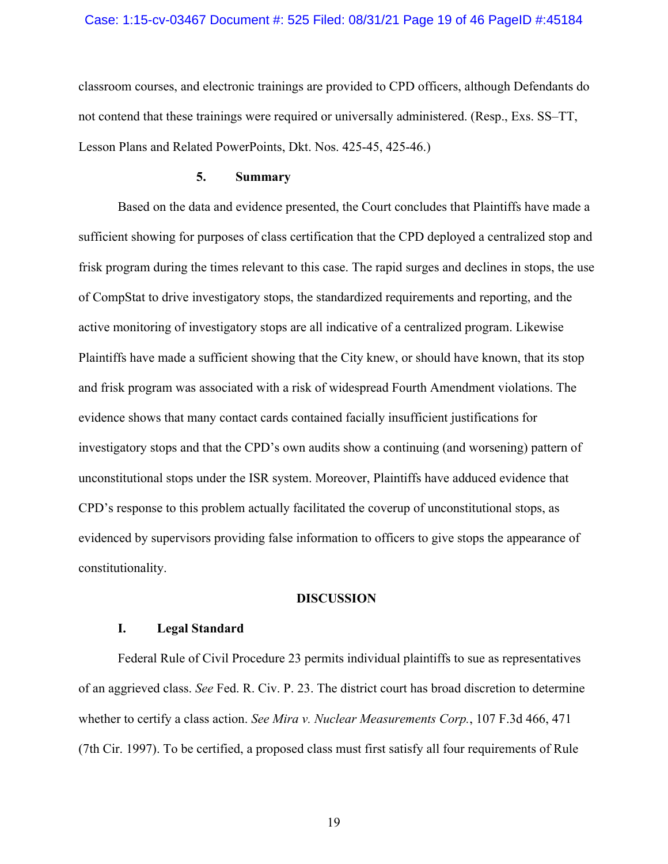#### Case: 1:15-cv-03467 Document #: 525 Filed: 08/31/21 Page 19 of 46 PageID #:45184

classroom courses, and electronic trainings are provided to CPD officers, although Defendants do not contend that these trainings were required or universally administered. (Resp., Exs. SS–TT, Lesson Plans and Related PowerPoints, Dkt. Nos. 425-45, 425-46.)

### **5. Summary**

 Based on the data and evidence presented, the Court concludes that Plaintiffs have made a sufficient showing for purposes of class certification that the CPD deployed a centralized stop and frisk program during the times relevant to this case. The rapid surges and declines in stops, the use of CompStat to drive investigatory stops, the standardized requirements and reporting, and the active monitoring of investigatory stops are all indicative of a centralized program. Likewise Plaintiffs have made a sufficient showing that the City knew, or should have known, that its stop and frisk program was associated with a risk of widespread Fourth Amendment violations. The evidence shows that many contact cards contained facially insufficient justifications for investigatory stops and that the CPD's own audits show a continuing (and worsening) pattern of unconstitutional stops under the ISR system. Moreover, Plaintiffs have adduced evidence that CPD's response to this problem actually facilitated the coverup of unconstitutional stops, as evidenced by supervisors providing false information to officers to give stops the appearance of constitutionality.

#### **DISCUSSION**

#### **I. Legal Standard**

Federal Rule of Civil Procedure 23 permits individual plaintiffs to sue as representatives of an aggrieved class. *See* Fed. R. Civ. P. 23. The district court has broad discretion to determine whether to certify a class action. *See Mira v. Nuclear Measurements Corp.*, 107 F.3d 466, 471 (7th Cir. 1997). To be certified, a proposed class must first satisfy all four requirements of Rule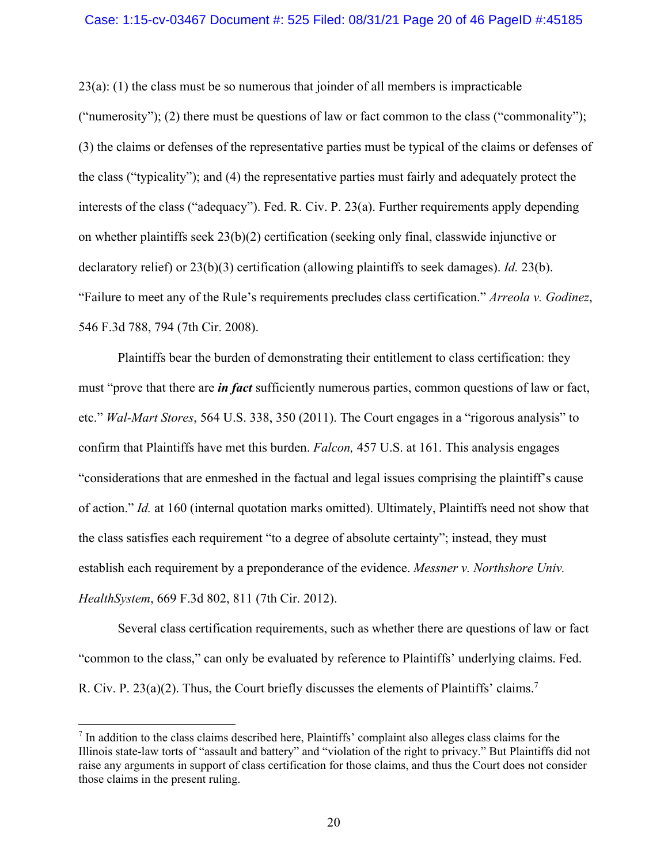#### Case: 1:15-cv-03467 Document #: 525 Filed: 08/31/21 Page 20 of 46 PageID #:45185

23(a): (1) the class must be so numerous that joinder of all members is impracticable ("numerosity"); (2) there must be questions of law or fact common to the class ("commonality"); (3) the claims or defenses of the representative parties must be typical of the claims or defenses of the class ("typicality"); and (4) the representative parties must fairly and adequately protect the interests of the class ("adequacy"). Fed. R. Civ. P. 23(a). Further requirements apply depending on whether plaintiffs seek  $23(b)(2)$  certification (seeking only final, classwide injunctive or declaratory relief) or 23(b)(3) certification (allowing plaintiffs to seek damages). *Id.* 23(b). "Failure to meet any of the Rule's requirements precludes class certification." *Arreola v. Godinez*, 546 F.3d 788, 794 (7th Cir. 2008).

Plaintiffs bear the burden of demonstrating their entitlement to class certification: they must "prove that there are *in fact* sufficiently numerous parties, common questions of law or fact, etc." *Wal-Mart Stores*, 564 U.S. 338, 350 (2011). The Court engages in a "rigorous analysis" to confirm that Plaintiffs have met this burden. *Falcon,* 457 U.S. at 161. This analysis engages "considerations that are enmeshed in the factual and legal issues comprising the plaintiff's cause of action." *Id.* at 160 (internal quotation marks omitted). Ultimately, Plaintiffs need not show that the class satisfies each requirement "to a degree of absolute certainty"; instead, they must establish each requirement by a preponderance of the evidence. *Messner v. Northshore Univ. HealthSystem*, 669 F.3d 802, 811 (7th Cir. 2012).

Several class certification requirements, such as whether there are questions of law or fact "common to the class," can only be evaluated by reference to Plaintiffs' underlying claims. Fed. R. Civ. P.  $23(a)(2)$ . Thus, the Court briefly discusses the elements of Plaintiffs' claims.<sup>7</sup>

 $<sup>7</sup>$  In addition to the class claims described here, Plaintiffs' complaint also alleges class claims for the</sup> Illinois state-law torts of "assault and battery" and "violation of the right to privacy." But Plaintiffs did not raise any arguments in support of class certification for those claims, and thus the Court does not consider those claims in the present ruling.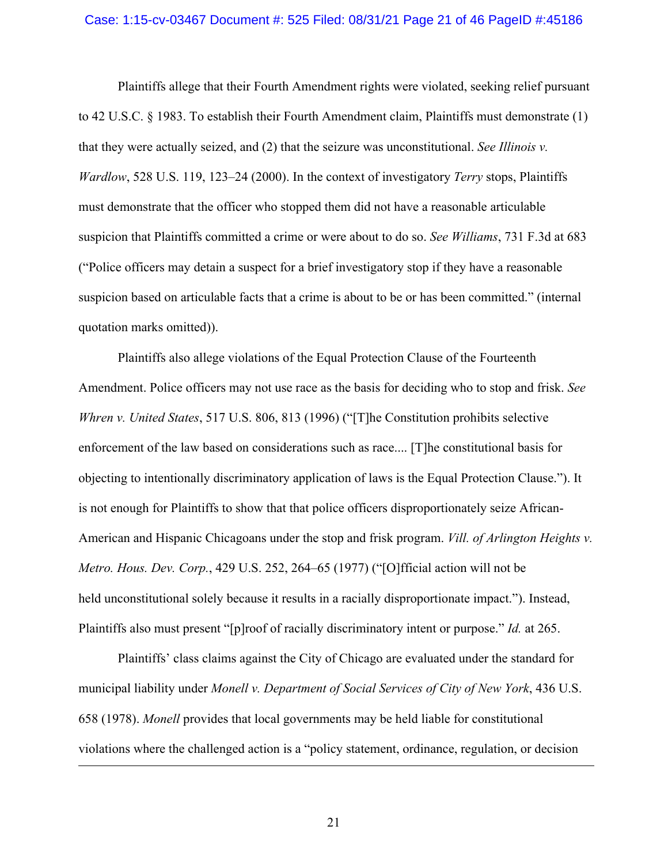#### Case: 1:15-cv-03467 Document #: 525 Filed: 08/31/21 Page 21 of 46 PageID #:45186

Plaintiffs allege that their Fourth Amendment rights were violated, seeking relief pursuant to 42 U.S.C. § 1983. To establish their Fourth Amendment claim, Plaintiffs must demonstrate (1) that they were actually seized, and (2) that the seizure was unconstitutional. *See Illinois v. Wardlow*, 528 U.S. 119, 123–24 (2000). In the context of investigatory *Terry* stops, Plaintiffs must demonstrate that the officer who stopped them did not have a reasonable articulable suspicion that Plaintiffs committed a crime or were about to do so. *See Williams*, 731 F.3d at 683 ("Police officers may detain a suspect for a brief investigatory stop if they have a reasonable suspicion based on articulable facts that a crime is about to be or has been committed." (internal quotation marks omitted)).

Plaintiffs also allege violations of the Equal Protection Clause of the Fourteenth Amendment. Police officers may not use race as the basis for deciding who to stop and frisk. *See Whren v. United States*, 517 U.S. 806, 813 (1996) ("[T]he Constitution prohibits selective enforcement of the law based on considerations such as race.... [T]he constitutional basis for objecting to intentionally discriminatory application of laws is the Equal Protection Clause."). It is not enough for Plaintiffs to show that that police officers disproportionately seize African-American and Hispanic Chicagoans under the stop and frisk program. *Vill. of Arlington Heights v. Metro. Hous. Dev. Corp.*, 429 U.S. 252, 264–65 (1977) ("[O]fficial action will not be held unconstitutional solely because it results in a racially disproportionate impact."). Instead, Plaintiffs also must present "[p]roof of racially discriminatory intent or purpose." *Id.* at 265.

 Plaintiffs' class claims against the City of Chicago are evaluated under the standard for municipal liability under *Monell v. Department of Social Services of City of New York*, 436 U.S. 658 (1978). *Monell* provides that local governments may be held liable for constitutional violations where the challenged action is a "policy statement, ordinance, regulation, or decision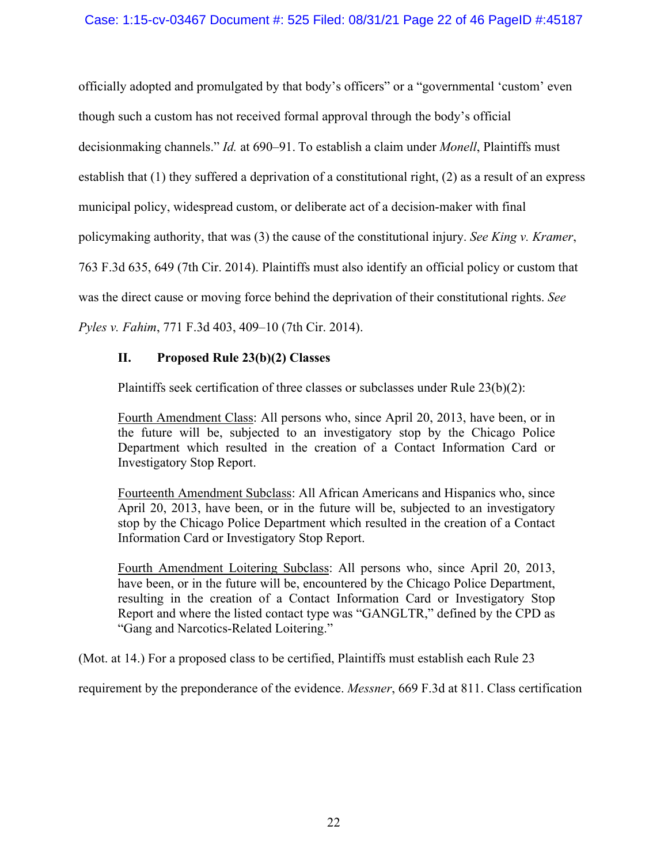officially adopted and promulgated by that body's officers" or a "governmental 'custom' even though such a custom has not received formal approval through the body's official decisionmaking channels." *Id.* at 690–91. To establish a claim under *Monell*, Plaintiffs must establish that (1) they suffered a deprivation of a constitutional right, (2) as a result of an express municipal policy, widespread custom, or deliberate act of a decision-maker with final policymaking authority, that was (3) the cause of the constitutional injury. *See King v. Kramer*, 763 F.3d 635, 649 (7th Cir. 2014). Plaintiffs must also identify an official policy or custom that was the direct cause or moving force behind the deprivation of their constitutional rights. *See Pyles v. Fahim*, 771 F.3d 403, 409–10 (7th Cir. 2014).

# **II. Proposed Rule 23(b)(2) Classes**

Plaintiffs seek certification of three classes or subclasses under Rule 23(b)(2):

Fourth Amendment Class: All persons who, since April 20, 2013, have been, or in the future will be, subjected to an investigatory stop by the Chicago Police Department which resulted in the creation of a Contact Information Card or Investigatory Stop Report.

Fourteenth Amendment Subclass: All African Americans and Hispanics who, since April 20, 2013, have been, or in the future will be, subjected to an investigatory stop by the Chicago Police Department which resulted in the creation of a Contact Information Card or Investigatory Stop Report.

Fourth Amendment Loitering Subclass: All persons who, since April 20, 2013, have been, or in the future will be, encountered by the Chicago Police Department, resulting in the creation of a Contact Information Card or Investigatory Stop Report and where the listed contact type was "GANGLTR," defined by the CPD as "Gang and Narcotics-Related Loitering."

(Mot. at 14.) For a proposed class to be certified, Plaintiffs must establish each Rule 23

requirement by the preponderance of the evidence. *Messner*, 669 F.3d at 811. Class certification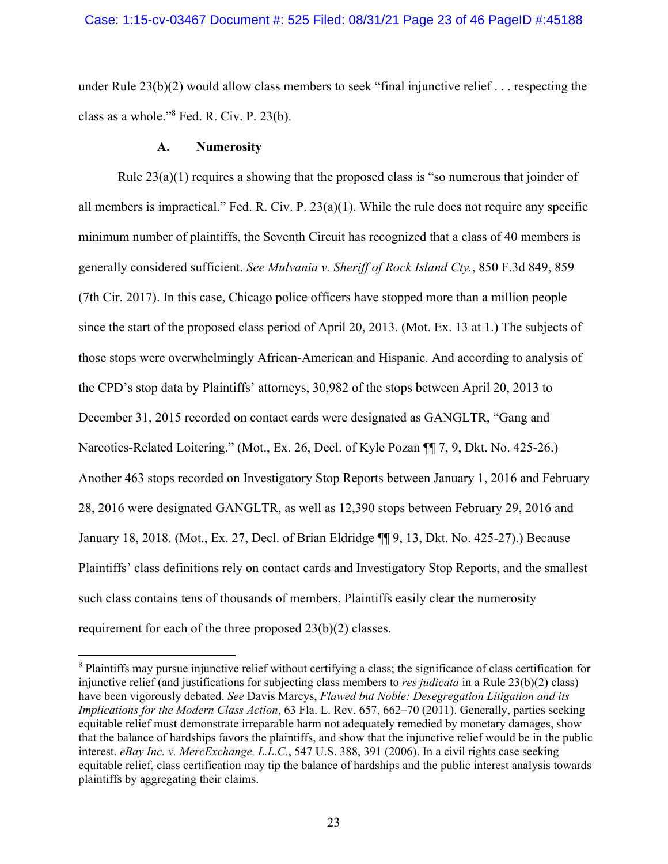under Rule 23(b)(2) would allow class members to seek "final injunctive relief . . . respecting the class as a whole."8 Fed. R. Civ. P. 23(b).

### **A. Numerosity**

Rule 23(a)(1) requires a showing that the proposed class is "so numerous that joinder of all members is impractical." Fed. R. Civ. P.  $23(a)(1)$ . While the rule does not require any specific minimum number of plaintiffs, the Seventh Circuit has recognized that a class of 40 members is generally considered sufficient. *See Mulvania v. Sheriff of Rock Island Cty.*, 850 F.3d 849, 859 (7th Cir. 2017). In this case, Chicago police officers have stopped more than a million people since the start of the proposed class period of April 20, 2013. (Mot. Ex. 13 at 1.) The subjects of those stops were overwhelmingly African-American and Hispanic. And according to analysis of the CPD's stop data by Plaintiffs' attorneys, 30,982 of the stops between April 20, 2013 to December 31, 2015 recorded on contact cards were designated as GANGLTR, "Gang and Narcotics-Related Loitering." (Mot., Ex. 26, Decl. of Kyle Pozan ¶¶ 7, 9, Dkt. No. 425-26.) Another 463 stops recorded on Investigatory Stop Reports between January 1, 2016 and February 28, 2016 were designated GANGLTR, as well as 12,390 stops between February 29, 2016 and January 18, 2018. (Mot., Ex. 27, Decl. of Brian Eldridge ¶¶ 9, 13, Dkt. No. 425-27).) Because Plaintiffs' class definitions rely on contact cards and Investigatory Stop Reports, and the smallest such class contains tens of thousands of members, Plaintiffs easily clear the numerosity requirement for each of the three proposed 23(b)(2) classes.

<sup>&</sup>lt;sup>8</sup> Plaintiffs may pursue injunctive relief without certifying a class; the significance of class certification for injunctive relief (and justifications for subjecting class members to *res judicata* in a Rule 23(b)(2) class) have been vigorously debated. *See* Davis Marcys, *Flawed but Noble: Desegregation Litigation and its Implications for the Modern Class Action*, 63 Fla. L. Rev. 657, 662–70 (2011). Generally, parties seeking equitable relief must demonstrate irreparable harm not adequately remedied by monetary damages, show that the balance of hardships favors the plaintiffs, and show that the injunctive relief would be in the public interest. *eBay Inc. v. MercExchange, L.L.C.*, 547 U.S. 388, 391 (2006). In a civil rights case seeking equitable relief, class certification may tip the balance of hardships and the public interest analysis towards plaintiffs by aggregating their claims.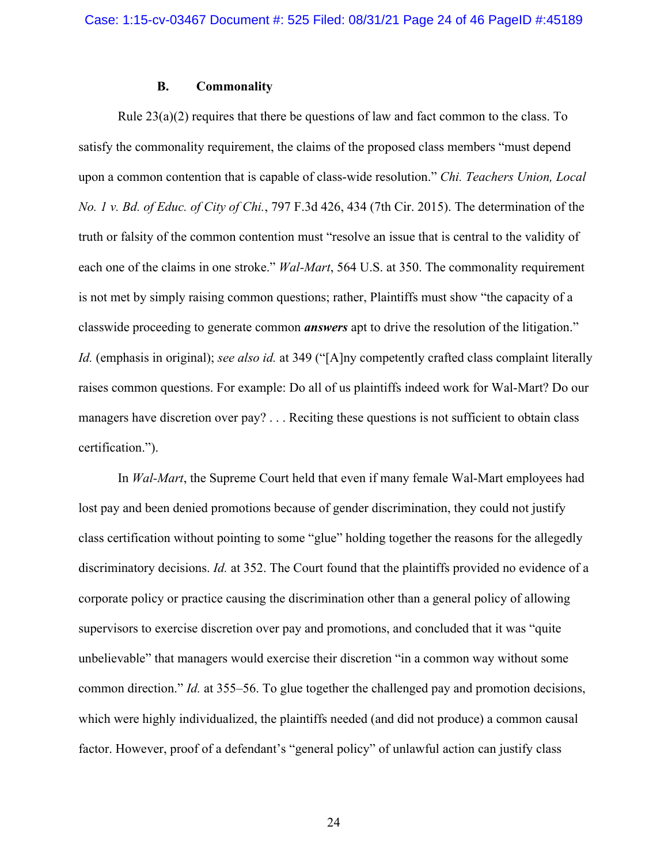### **B. Commonality**

Rule  $23(a)(2)$  requires that there be questions of law and fact common to the class. To satisfy the commonality requirement, the claims of the proposed class members "must depend upon a common contention that is capable of class-wide resolution." *Chi. Teachers Union, Local No. 1 v. Bd. of Educ. of City of Chi.*, 797 F.3d 426, 434 (7th Cir. 2015). The determination of the truth or falsity of the common contention must "resolve an issue that is central to the validity of each one of the claims in one stroke." *Wal-Mart*, 564 U.S. at 350. The commonality requirement is not met by simply raising common questions; rather, Plaintiffs must show "the capacity of a classwide proceeding to generate common *answers* apt to drive the resolution of the litigation." *Id.* (emphasis in original); *see also id.* at 349 ("[A]ny competently crafted class complaint literally raises common questions. For example: Do all of us plaintiffs indeed work for Wal-Mart? Do our managers have discretion over pay? . . . Reciting these questions is not sufficient to obtain class certification.").

In *Wal-Mart*, the Supreme Court held that even if many female Wal-Mart employees had lost pay and been denied promotions because of gender discrimination, they could not justify class certification without pointing to some "glue" holding together the reasons for the allegedly discriminatory decisions. *Id.* at 352. The Court found that the plaintiffs provided no evidence of a corporate policy or practice causing the discrimination other than a general policy of allowing supervisors to exercise discretion over pay and promotions, and concluded that it was "quite unbelievable" that managers would exercise their discretion "in a common way without some common direction." *Id.* at 355–56. To glue together the challenged pay and promotion decisions, which were highly individualized, the plaintiffs needed (and did not produce) a common causal factor. However, proof of a defendant's "general policy" of unlawful action can justify class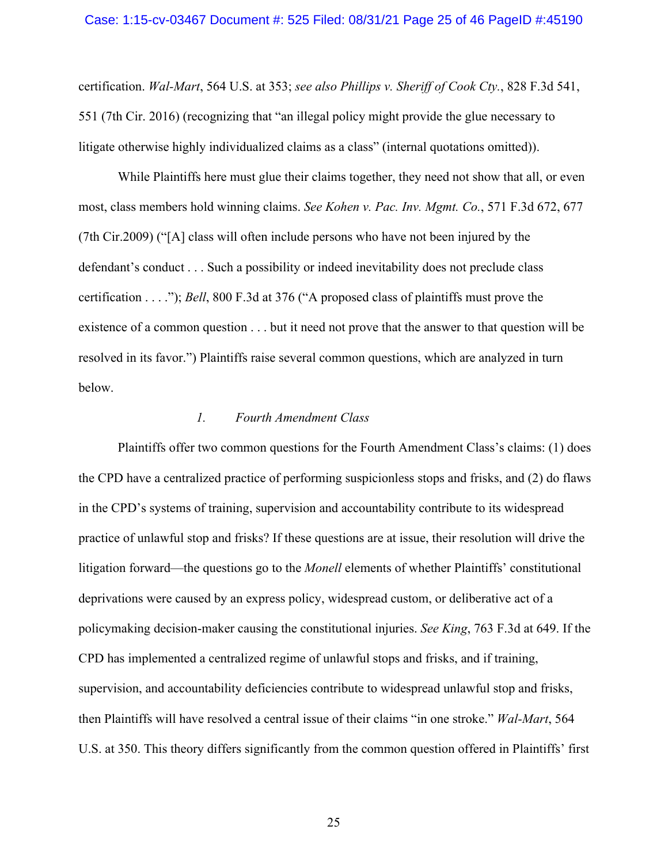certification. *Wal-Mart*, 564 U.S. at 353; *see also Phillips v. Sheriff of Cook Cty.*, 828 F.3d 541, 551 (7th Cir. 2016) (recognizing that "an illegal policy might provide the glue necessary to litigate otherwise highly individualized claims as a class" (internal quotations omitted)).

While Plaintiffs here must glue their claims together, they need not show that all, or even most, class members hold winning claims. *See Kohen v. Pac. Inv. Mgmt. Co.*, 571 F.3d 672, 677 (7th Cir.2009) ("[A] class will often include persons who have not been injured by the defendant's conduct . . . Such a possibility or indeed inevitability does not preclude class certification . . . ."); *Bell*, 800 F.3d at 376 ("A proposed class of plaintiffs must prove the existence of a common question . . . but it need not prove that the answer to that question will be resolved in its favor.") Plaintiffs raise several common questions, which are analyzed in turn below.

### *1. Fourth Amendment Class*

Plaintiffs offer two common questions for the Fourth Amendment Class's claims: (1) does the CPD have a centralized practice of performing suspicionless stops and frisks, and (2) do flaws in the CPD's systems of training, supervision and accountability contribute to its widespread practice of unlawful stop and frisks? If these questions are at issue, their resolution will drive the litigation forward—the questions go to the *Monell* elements of whether Plaintiffs' constitutional deprivations were caused by an express policy, widespread custom, or deliberative act of a policymaking decision-maker causing the constitutional injuries. *See King*, 763 F.3d at 649. If the CPD has implemented a centralized regime of unlawful stops and frisks, and if training, supervision, and accountability deficiencies contribute to widespread unlawful stop and frisks, then Plaintiffs will have resolved a central issue of their claims "in one stroke." *Wal-Mart*, 564 U.S. at 350. This theory differs significantly from the common question offered in Plaintiffs' first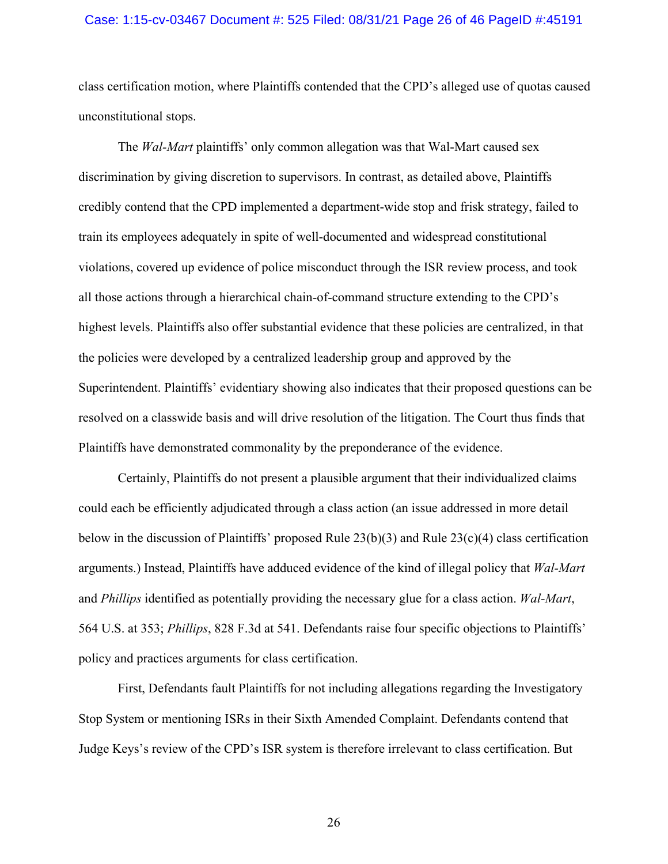#### Case: 1:15-cv-03467 Document #: 525 Filed: 08/31/21 Page 26 of 46 PageID #:45191

class certification motion, where Plaintiffs contended that the CPD's alleged use of quotas caused unconstitutional stops.

The *Wal-Mart* plaintiffs' only common allegation was that Wal-Mart caused sex discrimination by giving discretion to supervisors. In contrast, as detailed above, Plaintiffs credibly contend that the CPD implemented a department-wide stop and frisk strategy, failed to train its employees adequately in spite of well-documented and widespread constitutional violations, covered up evidence of police misconduct through the ISR review process, and took all those actions through a hierarchical chain-of-command structure extending to the CPD's highest levels. Plaintiffs also offer substantial evidence that these policies are centralized, in that the policies were developed by a centralized leadership group and approved by the Superintendent. Plaintiffs' evidentiary showing also indicates that their proposed questions can be resolved on a classwide basis and will drive resolution of the litigation. The Court thus finds that Plaintiffs have demonstrated commonality by the preponderance of the evidence.

Certainly, Plaintiffs do not present a plausible argument that their individualized claims could each be efficiently adjudicated through a class action (an issue addressed in more detail below in the discussion of Plaintiffs' proposed Rule  $23(b)(3)$  and Rule  $23(c)(4)$  class certification arguments.) Instead, Plaintiffs have adduced evidence of the kind of illegal policy that *Wal-Mart*  and *Phillips* identified as potentially providing the necessary glue for a class action. *Wal-Mart*, 564 U.S. at 353; *Phillips*, 828 F.3d at 541. Defendants raise four specific objections to Plaintiffs' policy and practices arguments for class certification.

First, Defendants fault Plaintiffs for not including allegations regarding the Investigatory Stop System or mentioning ISRs in their Sixth Amended Complaint. Defendants contend that Judge Keys's review of the CPD's ISR system is therefore irrelevant to class certification. But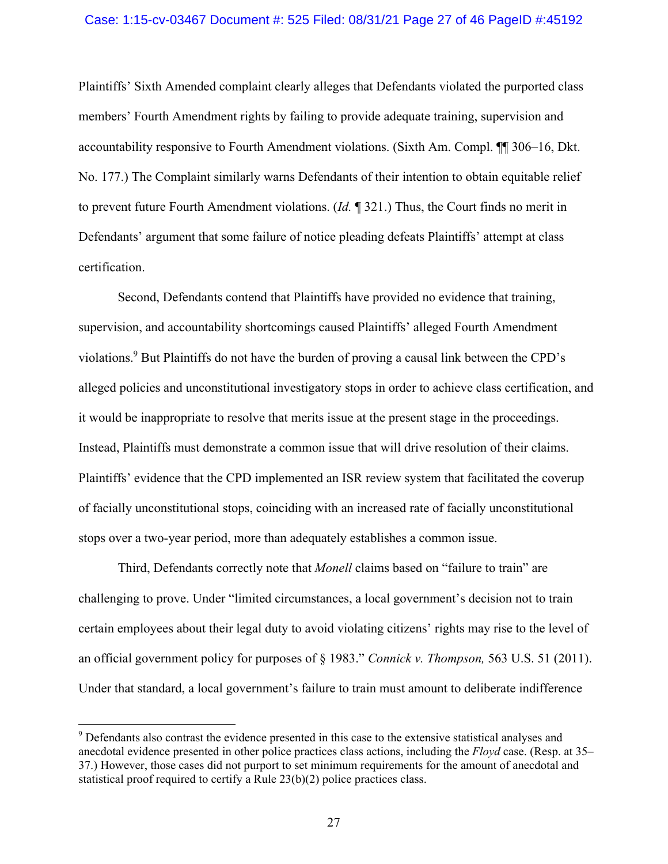### Case: 1:15-cv-03467 Document #: 525 Filed: 08/31/21 Page 27 of 46 PageID #:45192

Plaintiffs' Sixth Amended complaint clearly alleges that Defendants violated the purported class members' Fourth Amendment rights by failing to provide adequate training, supervision and accountability responsive to Fourth Amendment violations. (Sixth Am. Compl. ¶¶ 306–16, Dkt. No. 177.) The Complaint similarly warns Defendants of their intention to obtain equitable relief to prevent future Fourth Amendment violations. (*Id.* ¶ 321.) Thus, the Court finds no merit in Defendants' argument that some failure of notice pleading defeats Plaintiffs' attempt at class certification.

Second, Defendants contend that Plaintiffs have provided no evidence that training, supervision, and accountability shortcomings caused Plaintiffs' alleged Fourth Amendment violations.<sup>9</sup> But Plaintiffs do not have the burden of proving a causal link between the CPD's alleged policies and unconstitutional investigatory stops in order to achieve class certification, and it would be inappropriate to resolve that merits issue at the present stage in the proceedings. Instead, Plaintiffs must demonstrate a common issue that will drive resolution of their claims. Plaintiffs' evidence that the CPD implemented an ISR review system that facilitated the coverup of facially unconstitutional stops, coinciding with an increased rate of facially unconstitutional stops over a two-year period, more than adequately establishes a common issue.

Third, Defendants correctly note that *Monell* claims based on "failure to train" are challenging to prove. Under "limited circumstances, a local government's decision not to train certain employees about their legal duty to avoid violating citizens' rights may rise to the level of an official government policy for purposes of § 1983." *Connick v. Thompson,* 563 U.S. 51 (2011). Under that standard, a local government's failure to train must amount to deliberate indifference

<sup>&</sup>lt;sup>9</sup> Defendants also contrast the evidence presented in this case to the extensive statistical analyses and anecdotal evidence presented in other police practices class actions, including the *Floyd* case. (Resp. at 35– 37.) However, those cases did not purport to set minimum requirements for the amount of anecdotal and statistical proof required to certify a Rule 23(b)(2) police practices class.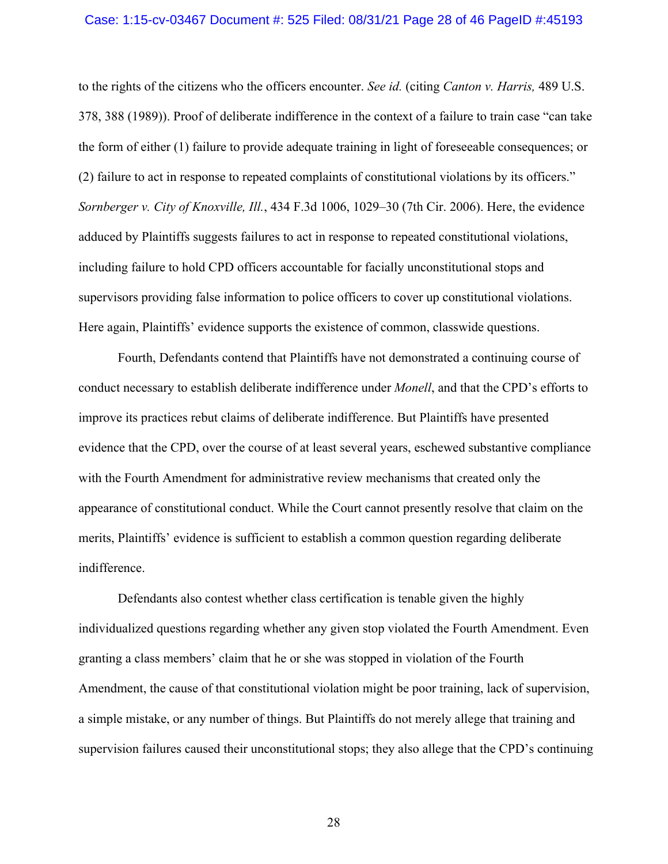#### Case: 1:15-cv-03467 Document #: 525 Filed: 08/31/21 Page 28 of 46 PageID #:45193

to the rights of the citizens who the officers encounter. *See id.* (citing *Canton v. Harris,* 489 U.S. 378, 388 (1989)). Proof of deliberate indifference in the context of a failure to train case "can take the form of either (1) failure to provide adequate training in light of foreseeable consequences; or (2) failure to act in response to repeated complaints of constitutional violations by its officers." *Sornberger v. City of Knoxville, Ill.*, 434 F.3d 1006, 1029–30 (7th Cir. 2006). Here, the evidence adduced by Plaintiffs suggests failures to act in response to repeated constitutional violations, including failure to hold CPD officers accountable for facially unconstitutional stops and supervisors providing false information to police officers to cover up constitutional violations. Here again, Plaintiffs' evidence supports the existence of common, classwide questions.

Fourth, Defendants contend that Plaintiffs have not demonstrated a continuing course of conduct necessary to establish deliberate indifference under *Monell*, and that the CPD's efforts to improve its practices rebut claims of deliberate indifference. But Plaintiffs have presented evidence that the CPD, over the course of at least several years, eschewed substantive compliance with the Fourth Amendment for administrative review mechanisms that created only the appearance of constitutional conduct. While the Court cannot presently resolve that claim on the merits, Plaintiffs' evidence is sufficient to establish a common question regarding deliberate indifference.

Defendants also contest whether class certification is tenable given the highly individualized questions regarding whether any given stop violated the Fourth Amendment. Even granting a class members' claim that he or she was stopped in violation of the Fourth Amendment, the cause of that constitutional violation might be poor training, lack of supervision, a simple mistake, or any number of things. But Plaintiffs do not merely allege that training and supervision failures caused their unconstitutional stops; they also allege that the CPD's continuing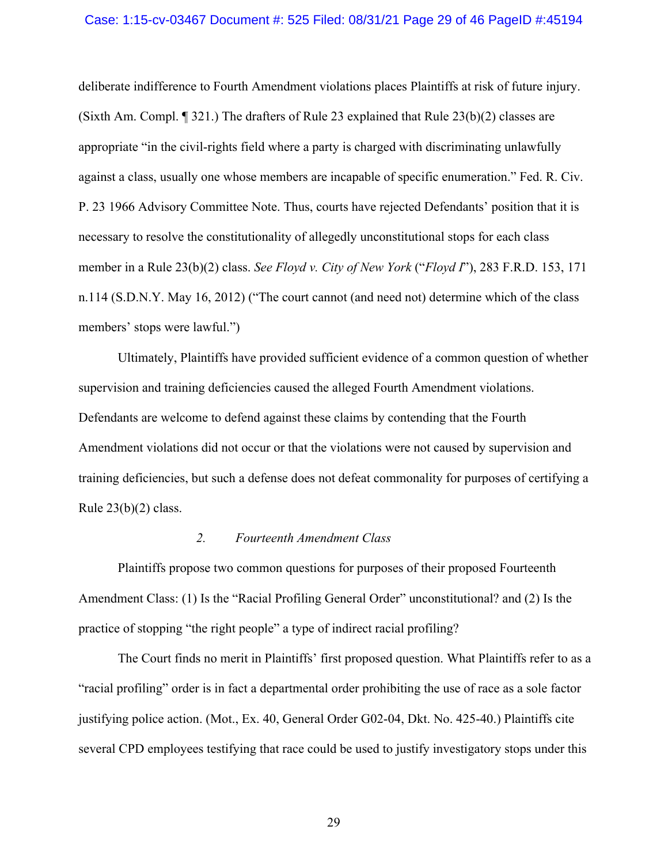#### Case: 1:15-cv-03467 Document #: 525 Filed: 08/31/21 Page 29 of 46 PageID #:45194

deliberate indifference to Fourth Amendment violations places Plaintiffs at risk of future injury. (Sixth Am. Compl. ¶ 321.) The drafters of Rule 23 explained that Rule 23(b)(2) classes are appropriate "in the civil-rights field where a party is charged with discriminating unlawfully against a class, usually one whose members are incapable of specific enumeration." Fed. R. Civ. P. 23 1966 Advisory Committee Note. Thus, courts have rejected Defendants' position that it is necessary to resolve the constitutionality of allegedly unconstitutional stops for each class member in a Rule 23(b)(2) class. *See Floyd v. City of New York* ("*Floyd I*"), 283 F.R.D. 153, 171 n.114 (S.D.N.Y. May 16, 2012) ("The court cannot (and need not) determine which of the class members' stops were lawful.")

Ultimately, Plaintiffs have provided sufficient evidence of a common question of whether supervision and training deficiencies caused the alleged Fourth Amendment violations. Defendants are welcome to defend against these claims by contending that the Fourth Amendment violations did not occur or that the violations were not caused by supervision and training deficiencies, but such a defense does not defeat commonality for purposes of certifying a Rule  $23(b)(2)$  class.

### *2. Fourteenth Amendment Class*

Plaintiffs propose two common questions for purposes of their proposed Fourteenth Amendment Class: (1) Is the "Racial Profiling General Order" unconstitutional? and (2) Is the practice of stopping "the right people" a type of indirect racial profiling?

The Court finds no merit in Plaintiffs' first proposed question. What Plaintiffs refer to as a "racial profiling" order is in fact a departmental order prohibiting the use of race as a sole factor justifying police action. (Mot., Ex. 40, General Order G02-04, Dkt. No. 425-40.) Plaintiffs cite several CPD employees testifying that race could be used to justify investigatory stops under this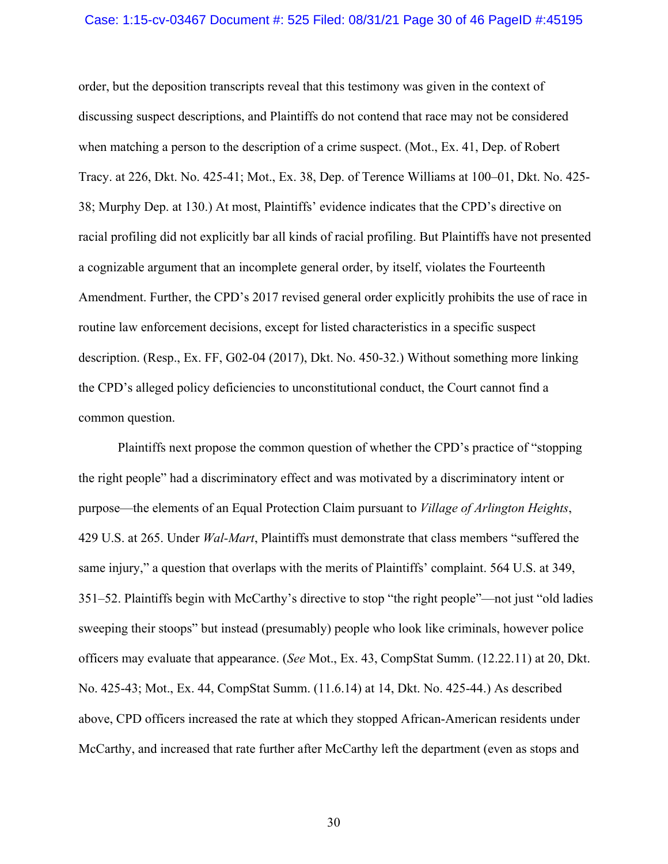#### Case: 1:15-cv-03467 Document #: 525 Filed: 08/31/21 Page 30 of 46 PageID #:45195

order, but the deposition transcripts reveal that this testimony was given in the context of discussing suspect descriptions, and Plaintiffs do not contend that race may not be considered when matching a person to the description of a crime suspect. (Mot., Ex. 41, Dep. of Robert Tracy. at 226, Dkt. No. 425-41; Mot., Ex. 38, Dep. of Terence Williams at 100–01, Dkt. No. 425- 38; Murphy Dep. at 130.) At most, Plaintiffs' evidence indicates that the CPD's directive on racial profiling did not explicitly bar all kinds of racial profiling. But Plaintiffs have not presented a cognizable argument that an incomplete general order, by itself, violates the Fourteenth Amendment. Further, the CPD's 2017 revised general order explicitly prohibits the use of race in routine law enforcement decisions, except for listed characteristics in a specific suspect description. (Resp., Ex. FF, G02-04 (2017), Dkt. No. 450-32.) Without something more linking the CPD's alleged policy deficiencies to unconstitutional conduct, the Court cannot find a common question.

Plaintiffs next propose the common question of whether the CPD's practice of "stopping the right people" had a discriminatory effect and was motivated by a discriminatory intent or purpose—the elements of an Equal Protection Claim pursuant to *Village of Arlington Heights*, 429 U.S. at 265. Under *Wal-Mart*, Plaintiffs must demonstrate that class members "suffered the same injury," a question that overlaps with the merits of Plaintiffs' complaint. 564 U.S. at 349, 351–52. Plaintiffs begin with McCarthy's directive to stop "the right people"—not just "old ladies sweeping their stoops" but instead (presumably) people who look like criminals, however police officers may evaluate that appearance. (*See* Mot., Ex. 43, CompStat Summ. (12.22.11) at 20, Dkt. No. 425-43; Mot., Ex. 44, CompStat Summ. (11.6.14) at 14, Dkt. No. 425-44.) As described above, CPD officers increased the rate at which they stopped African-American residents under McCarthy, and increased that rate further after McCarthy left the department (even as stops and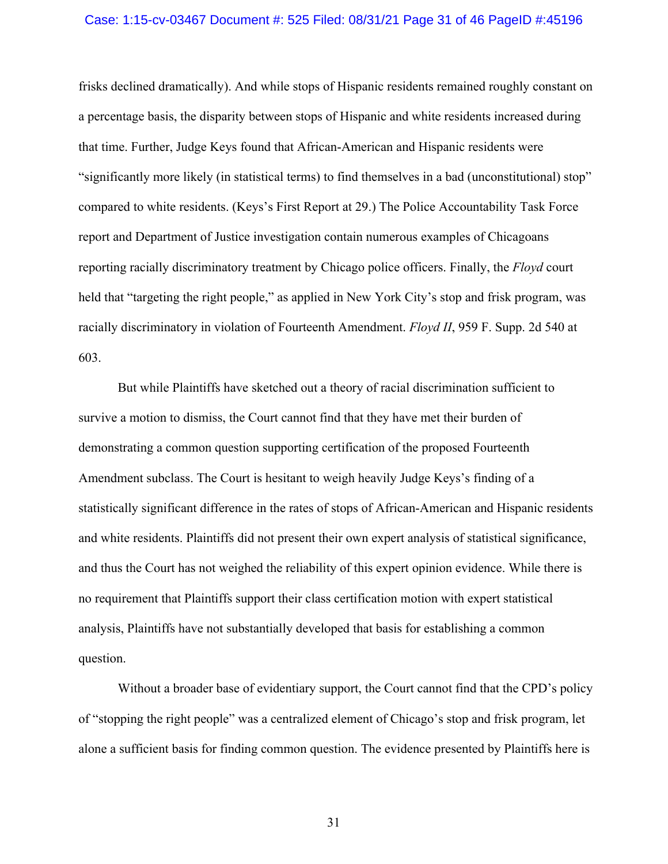#### Case: 1:15-cv-03467 Document #: 525 Filed: 08/31/21 Page 31 of 46 PageID #:45196

frisks declined dramatically). And while stops of Hispanic residents remained roughly constant on a percentage basis, the disparity between stops of Hispanic and white residents increased during that time. Further, Judge Keys found that African-American and Hispanic residents were "significantly more likely (in statistical terms) to find themselves in a bad (unconstitutional) stop" compared to white residents. (Keys's First Report at 29.) The Police Accountability Task Force report and Department of Justice investigation contain numerous examples of Chicagoans reporting racially discriminatory treatment by Chicago police officers. Finally, the *Floyd* court held that "targeting the right people," as applied in New York City's stop and frisk program, was racially discriminatory in violation of Fourteenth Amendment. *Floyd II*, 959 F. Supp. 2d 540 at 603.

But while Plaintiffs have sketched out a theory of racial discrimination sufficient to survive a motion to dismiss, the Court cannot find that they have met their burden of demonstrating a common question supporting certification of the proposed Fourteenth Amendment subclass. The Court is hesitant to weigh heavily Judge Keys's finding of a statistically significant difference in the rates of stops of African-American and Hispanic residents and white residents. Plaintiffs did not present their own expert analysis of statistical significance, and thus the Court has not weighed the reliability of this expert opinion evidence. While there is no requirement that Plaintiffs support their class certification motion with expert statistical analysis, Plaintiffs have not substantially developed that basis for establishing a common question.

Without a broader base of evidentiary support, the Court cannot find that the CPD's policy of "stopping the right people" was a centralized element of Chicago's stop and frisk program, let alone a sufficient basis for finding common question. The evidence presented by Plaintiffs here is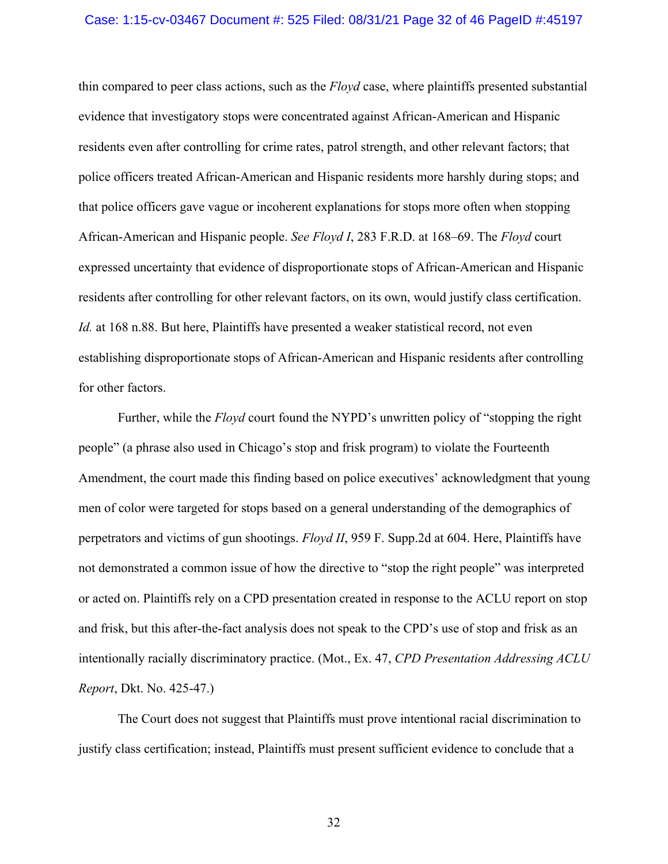#### Case: 1:15-cv-03467 Document #: 525 Filed: 08/31/21 Page 32 of 46 PageID #:45197

thin compared to peer class actions, such as the *Floyd* case, where plaintiffs presented substantial evidence that investigatory stops were concentrated against African-American and Hispanic residents even after controlling for crime rates, patrol strength, and other relevant factors; that police officers treated African-American and Hispanic residents more harshly during stops; and that police officers gave vague or incoherent explanations for stops more often when stopping African-American and Hispanic people. *See Floyd I*, 283 F.R.D. at 168–69. The *Floyd* court expressed uncertainty that evidence of disproportionate stops of African-American and Hispanic residents after controlling for other relevant factors, on its own, would justify class certification. *Id.* at 168 n.88. But here, Plaintiffs have presented a weaker statistical record, not even establishing disproportionate stops of African-American and Hispanic residents after controlling for other factors.

Further, while the *Floyd* court found the NYPD's unwritten policy of "stopping the right people" (a phrase also used in Chicago's stop and frisk program) to violate the Fourteenth Amendment, the court made this finding based on police executives' acknowledgment that young men of color were targeted for stops based on a general understanding of the demographics of perpetrators and victims of gun shootings. *Floyd II*, 959 F. Supp.2d at 604. Here, Plaintiffs have not demonstrated a common issue of how the directive to "stop the right people" was interpreted or acted on. Plaintiffs rely on a CPD presentation created in response to the ACLU report on stop and frisk, but this after-the-fact analysis does not speak to the CPD's use of stop and frisk as an intentionally racially discriminatory practice. (Mot., Ex. 47, *CPD Presentation Addressing ACLU Report*, Dkt. No. 425-47.)

The Court does not suggest that Plaintiffs must prove intentional racial discrimination to justify class certification; instead, Plaintiffs must present sufficient evidence to conclude that a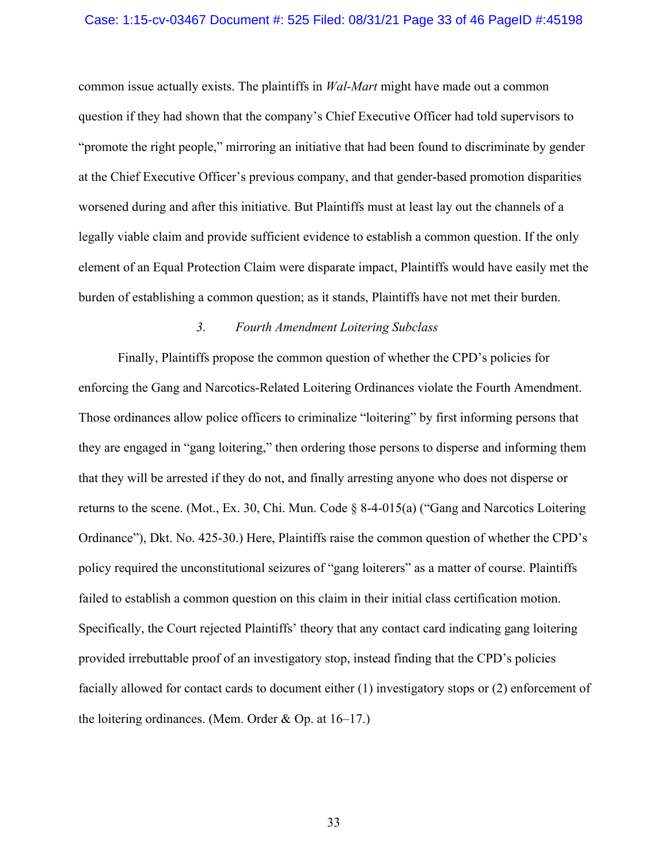#### Case: 1:15-cv-03467 Document #: 525 Filed: 08/31/21 Page 33 of 46 PageID #:45198

common issue actually exists. The plaintiffs in *Wal-Mart* might have made out a common question if they had shown that the company's Chief Executive Officer had told supervisors to "promote the right people," mirroring an initiative that had been found to discriminate by gender at the Chief Executive Officer's previous company, and that gender-based promotion disparities worsened during and after this initiative. But Plaintiffs must at least lay out the channels of a legally viable claim and provide sufficient evidence to establish a common question. If the only element of an Equal Protection Claim were disparate impact, Plaintiffs would have easily met the burden of establishing a common question; as it stands, Plaintiffs have not met their burden.

## *3. Fourth Amendment Loitering Subclass*

Finally, Plaintiffs propose the common question of whether the CPD's policies for enforcing the Gang and Narcotics-Related Loitering Ordinances violate the Fourth Amendment. Those ordinances allow police officers to criminalize "loitering" by first informing persons that they are engaged in "gang loitering," then ordering those persons to disperse and informing them that they will be arrested if they do not, and finally arresting anyone who does not disperse or returns to the scene. (Mot., Ex. 30, Chi. Mun. Code § 8-4-015(a) ("Gang and Narcotics Loitering Ordinance"), Dkt. No. 425-30.) Here, Plaintiffs raise the common question of whether the CPD's policy required the unconstitutional seizures of "gang loiterers" as a matter of course. Plaintiffs failed to establish a common question on this claim in their initial class certification motion. Specifically, the Court rejected Plaintiffs' theory that any contact card indicating gang loitering provided irrebuttable proof of an investigatory stop, instead finding that the CPD's policies facially allowed for contact cards to document either (1) investigatory stops or (2) enforcement of the loitering ordinances. (Mem. Order & Op. at 16–17.)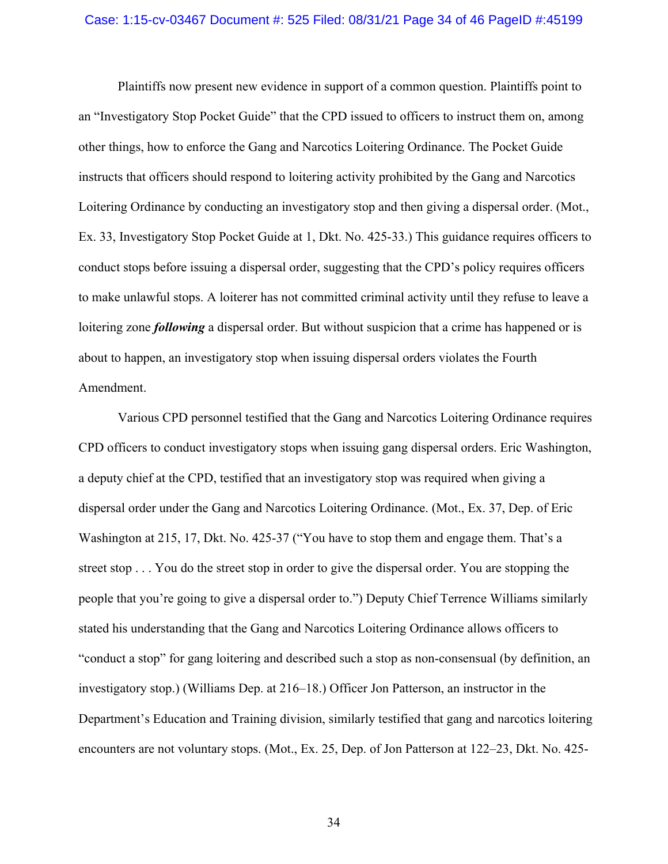#### Case: 1:15-cv-03467 Document #: 525 Filed: 08/31/21 Page 34 of 46 PageID #:45199

Plaintiffs now present new evidence in support of a common question. Plaintiffs point to an "Investigatory Stop Pocket Guide" that the CPD issued to officers to instruct them on, among other things, how to enforce the Gang and Narcotics Loitering Ordinance. The Pocket Guide instructs that officers should respond to loitering activity prohibited by the Gang and Narcotics Loitering Ordinance by conducting an investigatory stop and then giving a dispersal order. (Mot., Ex. 33, Investigatory Stop Pocket Guide at 1, Dkt. No. 425-33.) This guidance requires officers to conduct stops before issuing a dispersal order, suggesting that the CPD's policy requires officers to make unlawful stops. A loiterer has not committed criminal activity until they refuse to leave a loitering zone *following* a dispersal order. But without suspicion that a crime has happened or is about to happen, an investigatory stop when issuing dispersal orders violates the Fourth Amendment.

Various CPD personnel testified that the Gang and Narcotics Loitering Ordinance requires CPD officers to conduct investigatory stops when issuing gang dispersal orders. Eric Washington, a deputy chief at the CPD, testified that an investigatory stop was required when giving a dispersal order under the Gang and Narcotics Loitering Ordinance. (Mot., Ex. 37, Dep. of Eric Washington at 215, 17, Dkt. No. 425-37 ("You have to stop them and engage them. That's a street stop . . . You do the street stop in order to give the dispersal order. You are stopping the people that you're going to give a dispersal order to.") Deputy Chief Terrence Williams similarly stated his understanding that the Gang and Narcotics Loitering Ordinance allows officers to "conduct a stop" for gang loitering and described such a stop as non-consensual (by definition, an investigatory stop.) (Williams Dep. at 216–18.) Officer Jon Patterson, an instructor in the Department's Education and Training division, similarly testified that gang and narcotics loitering encounters are not voluntary stops. (Mot., Ex. 25, Dep. of Jon Patterson at 122–23, Dkt. No. 425-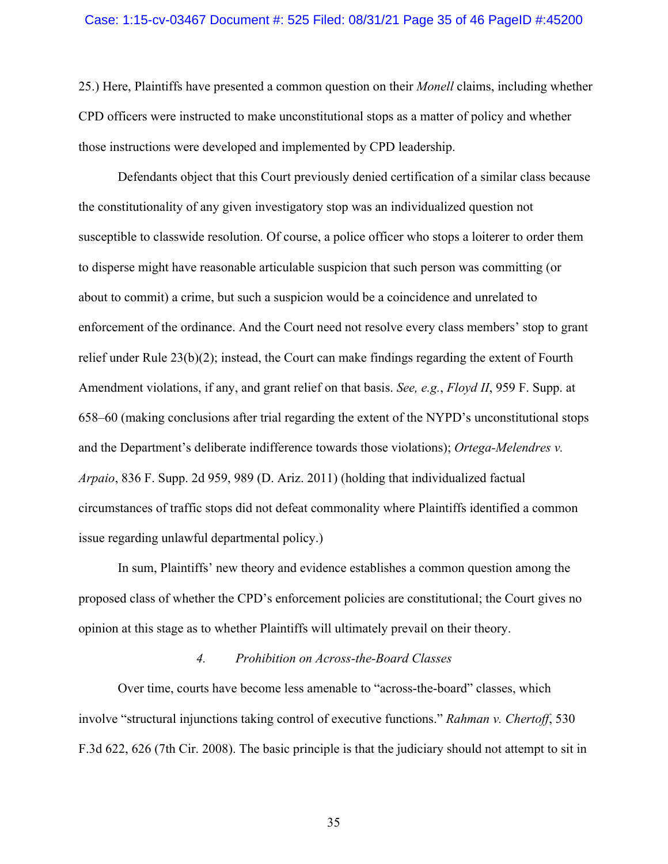#### Case: 1:15-cv-03467 Document #: 525 Filed: 08/31/21 Page 35 of 46 PageID #:45200

25.) Here, Plaintiffs have presented a common question on their *Monell* claims, including whether CPD officers were instructed to make unconstitutional stops as a matter of policy and whether those instructions were developed and implemented by CPD leadership.

Defendants object that this Court previously denied certification of a similar class because the constitutionality of any given investigatory stop was an individualized question not susceptible to classwide resolution. Of course, a police officer who stops a loiterer to order them to disperse might have reasonable articulable suspicion that such person was committing (or about to commit) a crime, but such a suspicion would be a coincidence and unrelated to enforcement of the ordinance. And the Court need not resolve every class members' stop to grant relief under Rule 23(b)(2); instead, the Court can make findings regarding the extent of Fourth Amendment violations, if any, and grant relief on that basis. *See, e.g.*, *Floyd II*, 959 F. Supp. at 658–60 (making conclusions after trial regarding the extent of the NYPD's unconstitutional stops and the Department's deliberate indifference towards those violations); *Ortega-Melendres v. Arpaio*, 836 F. Supp. 2d 959, 989 (D. Ariz. 2011) (holding that individualized factual circumstances of traffic stops did not defeat commonality where Plaintiffs identified a common issue regarding unlawful departmental policy.)

In sum, Plaintiffs' new theory and evidence establishes a common question among the proposed class of whether the CPD's enforcement policies are constitutional; the Court gives no opinion at this stage as to whether Plaintiffs will ultimately prevail on their theory.

## *4. Prohibition on Across-the-Board Classes*

Over time, courts have become less amenable to "across-the-board" classes, which involve "structural injunctions taking control of executive functions." *Rahman v. Chertoff*, 530 F.3d 622, 626 (7th Cir. 2008). The basic principle is that the judiciary should not attempt to sit in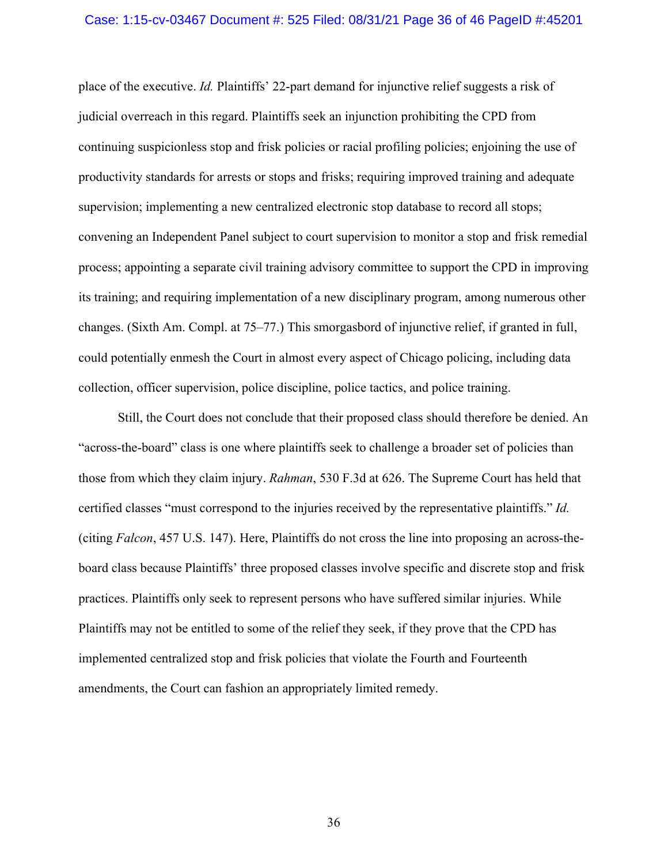#### Case: 1:15-cv-03467 Document #: 525 Filed: 08/31/21 Page 36 of 46 PageID #:45201

place of the executive. *Id.* Plaintiffs' 22-part demand for injunctive relief suggests a risk of judicial overreach in this regard. Plaintiffs seek an injunction prohibiting the CPD from continuing suspicionless stop and frisk policies or racial profiling policies; enjoining the use of productivity standards for arrests or stops and frisks; requiring improved training and adequate supervision; implementing a new centralized electronic stop database to record all stops; convening an Independent Panel subject to court supervision to monitor a stop and frisk remedial process; appointing a separate civil training advisory committee to support the CPD in improving its training; and requiring implementation of a new disciplinary program, among numerous other changes. (Sixth Am. Compl. at 75–77.) This smorgasbord of injunctive relief, if granted in full, could potentially enmesh the Court in almost every aspect of Chicago policing, including data collection, officer supervision, police discipline, police tactics, and police training.

 Still, the Court does not conclude that their proposed class should therefore be denied. An "across-the-board" class is one where plaintiffs seek to challenge a broader set of policies than those from which they claim injury. *Rahman*, 530 F.3d at 626. The Supreme Court has held that certified classes "must correspond to the injuries received by the representative plaintiffs." *Id.* (citing *Falcon*, 457 U.S. 147). Here, Plaintiffs do not cross the line into proposing an across-theboard class because Plaintiffs' three proposed classes involve specific and discrete stop and frisk practices. Plaintiffs only seek to represent persons who have suffered similar injuries. While Plaintiffs may not be entitled to some of the relief they seek, if they prove that the CPD has implemented centralized stop and frisk policies that violate the Fourth and Fourteenth amendments, the Court can fashion an appropriately limited remedy.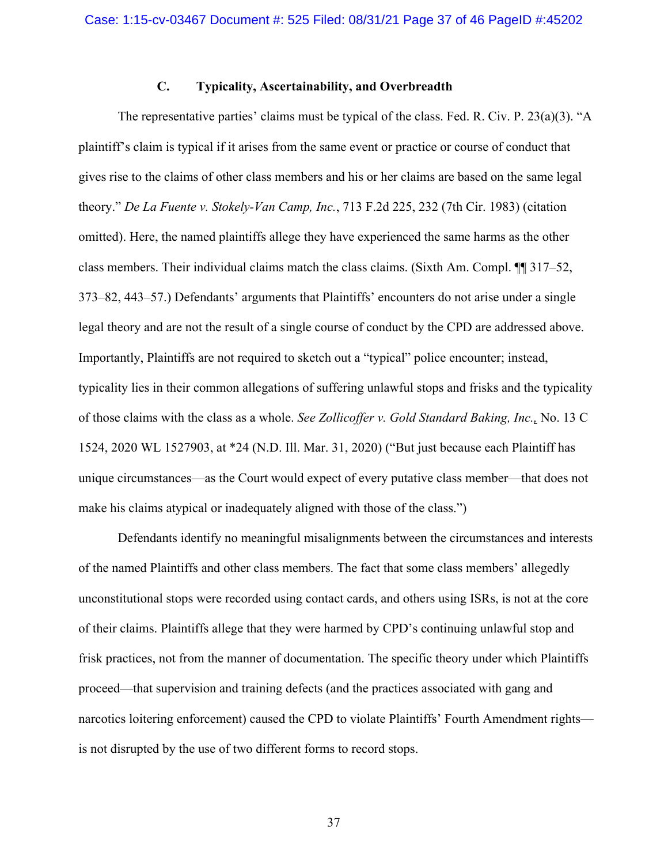## **C. Typicality, Ascertainability, and Overbreadth**

The representative parties' claims must be typical of the class. Fed. R. Civ. P. 23(a)(3). "A plaintiff's claim is typical if it arises from the same event or practice or course of conduct that gives rise to the claims of other class members and his or her claims are based on the same legal theory." *De La Fuente v. Stokely-Van Camp, Inc.*, 713 F.2d 225, 232 (7th Cir. 1983) (citation omitted). Here, the named plaintiffs allege they have experienced the same harms as the other class members. Their individual claims match the class claims. (Sixth Am. Compl. ¶¶ 317–52, 373–82, 443–57.) Defendants' arguments that Plaintiffs' encounters do not arise under a single legal theory and are not the result of a single course of conduct by the CPD are addressed above. Importantly, Plaintiffs are not required to sketch out a "typical" police encounter; instead, typicality lies in their common allegations of suffering unlawful stops and frisks and the typicality of those claims with the class as a whole. *See Zollicoffer v. Gold Standard Baking, Inc.,* No. 13 C 1524, 2020 WL 1527903, at \*24 (N.D. Ill. Mar. 31, 2020) ("But just because each Plaintiff has unique circumstances—as the Court would expect of every putative class member—that does not make his claims atypical or inadequately aligned with those of the class.")

Defendants identify no meaningful misalignments between the circumstances and interests of the named Plaintiffs and other class members. The fact that some class members' allegedly unconstitutional stops were recorded using contact cards, and others using ISRs, is not at the core of their claims. Plaintiffs allege that they were harmed by CPD's continuing unlawful stop and frisk practices, not from the manner of documentation. The specific theory under which Plaintiffs proceed—that supervision and training defects (and the practices associated with gang and narcotics loitering enforcement) caused the CPD to violate Plaintiffs' Fourth Amendment rights is not disrupted by the use of two different forms to record stops.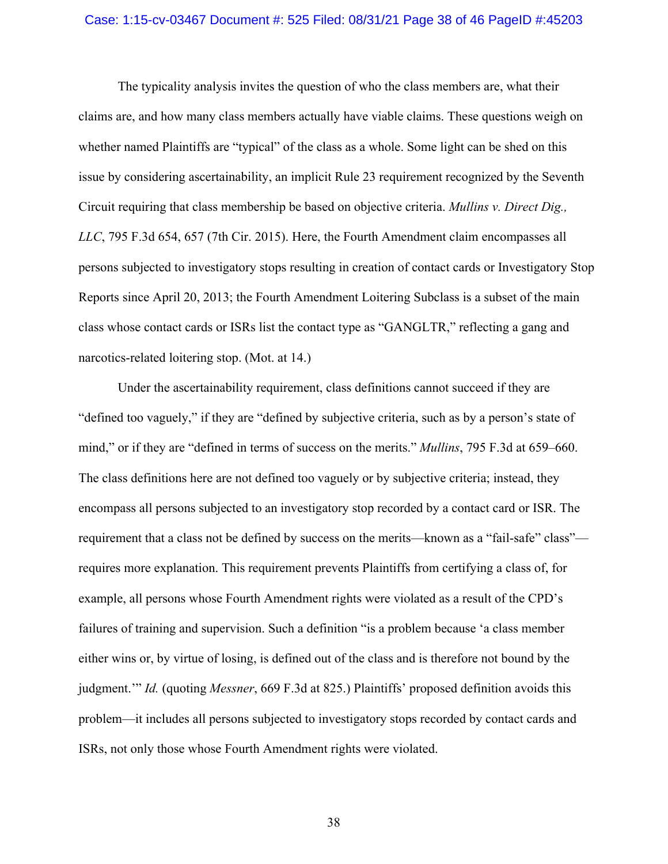#### Case: 1:15-cv-03467 Document #: 525 Filed: 08/31/21 Page 38 of 46 PageID #:45203

The typicality analysis invites the question of who the class members are, what their claims are, and how many class members actually have viable claims. These questions weigh on whether named Plaintiffs are "typical" of the class as a whole. Some light can be shed on this issue by considering ascertainability, an implicit Rule 23 requirement recognized by the Seventh Circuit requiring that class membership be based on objective criteria. *Mullins v. Direct Dig., LLC*, 795 F.3d 654, 657 (7th Cir. 2015). Here, the Fourth Amendment claim encompasses all persons subjected to investigatory stops resulting in creation of contact cards or Investigatory Stop Reports since April 20, 2013; the Fourth Amendment Loitering Subclass is a subset of the main class whose contact cards or ISRs list the contact type as "GANGLTR," reflecting a gang and narcotics-related loitering stop. (Mot. at 14.)

Under the ascertainability requirement, class definitions cannot succeed if they are "defined too vaguely," if they are "defined by subjective criteria, such as by a person's state of mind," or if they are "defined in terms of success on the merits." *Mullins*, 795 F.3d at 659–660. The class definitions here are not defined too vaguely or by subjective criteria; instead, they encompass all persons subjected to an investigatory stop recorded by a contact card or ISR. The requirement that a class not be defined by success on the merits—known as a "fail-safe" class" requires more explanation. This requirement prevents Plaintiffs from certifying a class of, for example, all persons whose Fourth Amendment rights were violated as a result of the CPD's failures of training and supervision. Such a definition "is a problem because 'a class member either wins or, by virtue of losing, is defined out of the class and is therefore not bound by the judgment.'" *Id.* (quoting *Messner*, 669 F.3d at 825.) Plaintiffs' proposed definition avoids this problem—it includes all persons subjected to investigatory stops recorded by contact cards and ISRs, not only those whose Fourth Amendment rights were violated.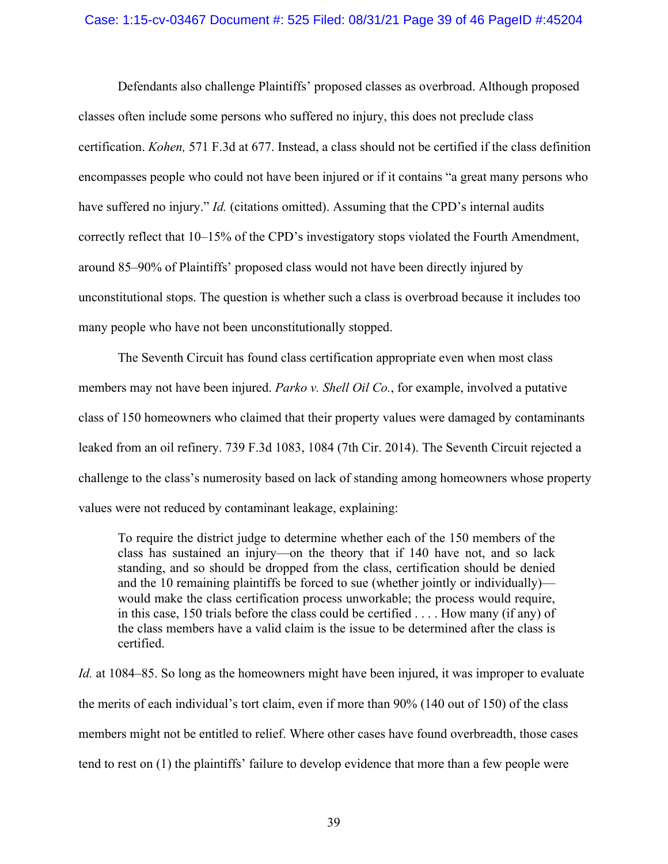## Case: 1:15-cv-03467 Document #: 525 Filed: 08/31/21 Page 39 of 46 PageID #:45204

Defendants also challenge Plaintiffs' proposed classes as overbroad. Although proposed classes often include some persons who suffered no injury, this does not preclude class certification. *Kohen,* 571 F.3d at 677. Instead, a class should not be certified if the class definition encompasses people who could not have been injured or if it contains "a great many persons who have suffered no injury." *Id.* (citations omitted). Assuming that the CPD's internal audits correctly reflect that 10–15% of the CPD's investigatory stops violated the Fourth Amendment, around 85–90% of Plaintiffs' proposed class would not have been directly injured by unconstitutional stops. The question is whether such a class is overbroad because it includes too many people who have not been unconstitutionally stopped.

The Seventh Circuit has found class certification appropriate even when most class members may not have been injured. *Parko v. Shell Oil Co.*, for example, involved a putative class of 150 homeowners who claimed that their property values were damaged by contaminants leaked from an oil refinery. 739 F.3d 1083, 1084 (7th Cir. 2014). The Seventh Circuit rejected a challenge to the class's numerosity based on lack of standing among homeowners whose property values were not reduced by contaminant leakage, explaining:

To require the district judge to determine whether each of the 150 members of the class has sustained an injury—on the theory that if 140 have not, and so lack standing, and so should be dropped from the class, certification should be denied and the 10 remaining plaintiffs be forced to sue (whether jointly or individually) would make the class certification process unworkable; the process would require, in this case, 150 trials before the class could be certified . . . . How many (if any) of the class members have a valid claim is the issue to be determined after the class is certified.

*Id.* at 1084–85. So long as the homeowners might have been injured, it was improper to evaluate the merits of each individual's tort claim, even if more than 90% (140 out of 150) of the class members might not be entitled to relief. Where other cases have found overbreadth, those cases tend to rest on (1) the plaintiffs' failure to develop evidence that more than a few people were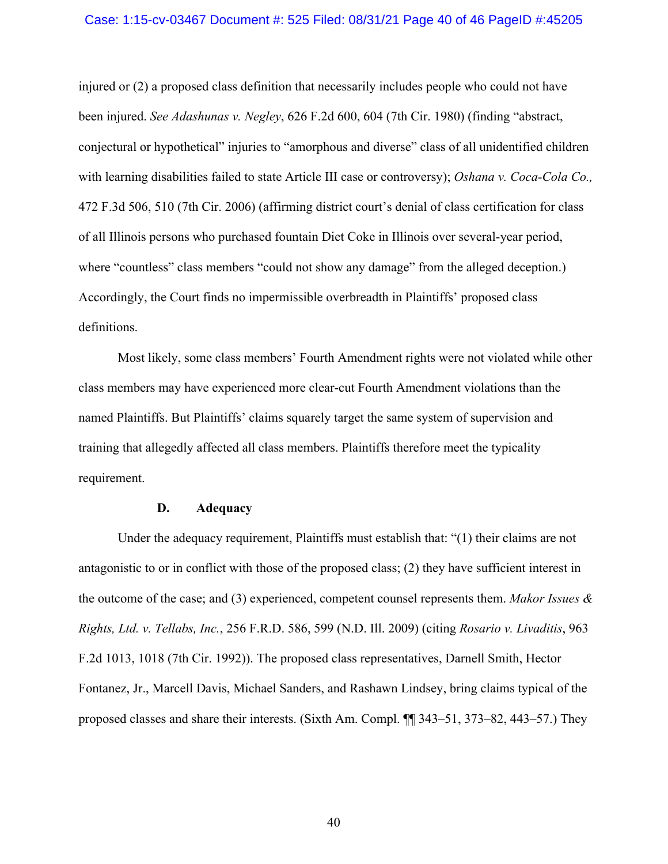#### Case: 1:15-cv-03467 Document #: 525 Filed: 08/31/21 Page 40 of 46 PageID #:45205

injured or (2) a proposed class definition that necessarily includes people who could not have been injured. *See Adashunas v. Negley*, 626 F.2d 600, 604 (7th Cir. 1980) (finding "abstract, conjectural or hypothetical" injuries to "amorphous and diverse" class of all unidentified children with learning disabilities failed to state Article III case or controversy); *Oshana v. Coca-Cola Co.,* 472 F.3d 506, 510 (7th Cir. 2006) (affirming district court's denial of class certification for class of all Illinois persons who purchased fountain Diet Coke in Illinois over several-year period, where "countless" class members "could not show any damage" from the alleged deception.) Accordingly, the Court finds no impermissible overbreadth in Plaintiffs' proposed class definitions.

 Most likely, some class members' Fourth Amendment rights were not violated while other class members may have experienced more clear-cut Fourth Amendment violations than the named Plaintiffs. But Plaintiffs' claims squarely target the same system of supervision and training that allegedly affected all class members. Plaintiffs therefore meet the typicality requirement.

## **D. Adequacy**

Under the adequacy requirement, Plaintiffs must establish that: "(1) their claims are not antagonistic to or in conflict with those of the proposed class; (2) they have sufficient interest in the outcome of the case; and (3) experienced, competent counsel represents them. *Makor Issues & Rights, Ltd. v. Tellabs, Inc.*, 256 F.R.D. 586, 599 (N.D. Ill. 2009) (citing *Rosario v. Livaditis*, 963 F.2d 1013, 1018 (7th Cir. 1992)). The proposed class representatives, Darnell Smith, Hector Fontanez, Jr., Marcell Davis, Michael Sanders, and Rashawn Lindsey, bring claims typical of the proposed classes and share their interests. (Sixth Am. Compl. ¶¶ 343–51, 373–82, 443–57.) They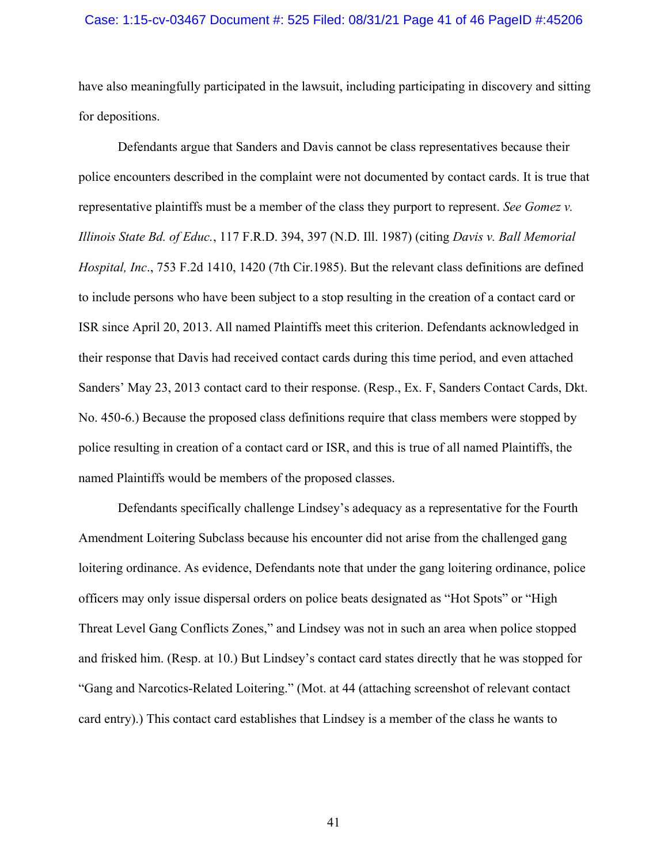### Case: 1:15-cv-03467 Document #: 525 Filed: 08/31/21 Page 41 of 46 PageID #:45206

have also meaningfully participated in the lawsuit, including participating in discovery and sitting for depositions.

Defendants argue that Sanders and Davis cannot be class representatives because their police encounters described in the complaint were not documented by contact cards. It is true that representative plaintiffs must be a member of the class they purport to represent. *See Gomez v. Illinois State Bd. of Educ.*, 117 F.R.D. 394, 397 (N.D. Ill. 1987) (citing *Davis v. Ball Memorial Hospital, Inc*., 753 F.2d 1410, 1420 (7th Cir.1985). But the relevant class definitions are defined to include persons who have been subject to a stop resulting in the creation of a contact card or ISR since April 20, 2013. All named Plaintiffs meet this criterion. Defendants acknowledged in their response that Davis had received contact cards during this time period, and even attached Sanders' May 23, 2013 contact card to their response. (Resp., Ex. F, Sanders Contact Cards, Dkt. No. 450-6.) Because the proposed class definitions require that class members were stopped by police resulting in creation of a contact card or ISR, and this is true of all named Plaintiffs, the named Plaintiffs would be members of the proposed classes.

Defendants specifically challenge Lindsey's adequacy as a representative for the Fourth Amendment Loitering Subclass because his encounter did not arise from the challenged gang loitering ordinance. As evidence, Defendants note that under the gang loitering ordinance, police officers may only issue dispersal orders on police beats designated as "Hot Spots" or "High Threat Level Gang Conflicts Zones," and Lindsey was not in such an area when police stopped and frisked him. (Resp. at 10.) But Lindsey's contact card states directly that he was stopped for "Gang and Narcotics-Related Loitering." (Mot. at 44 (attaching screenshot of relevant contact card entry).) This contact card establishes that Lindsey is a member of the class he wants to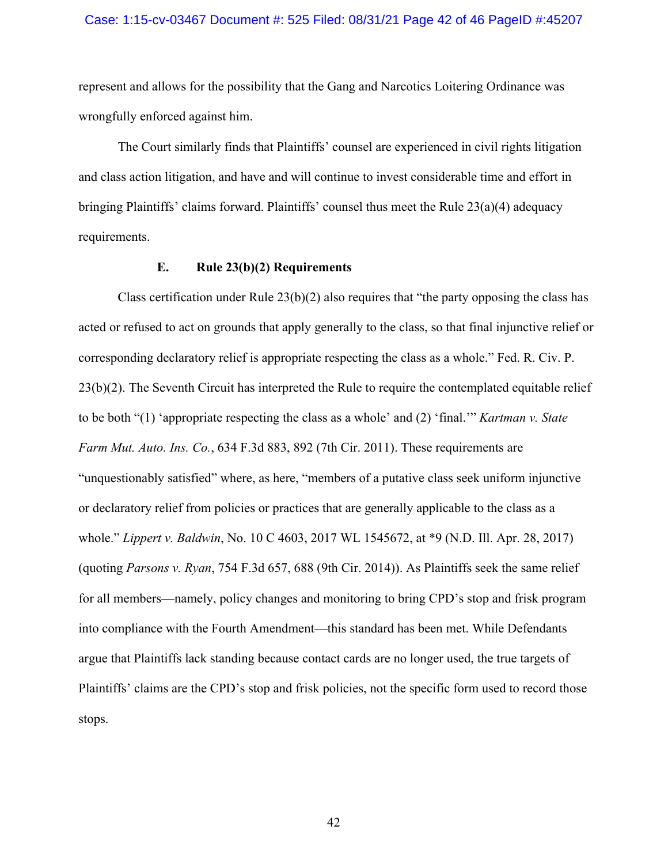#### Case: 1:15-cv-03467 Document #: 525 Filed: 08/31/21 Page 42 of 46 PageID #:45207

represent and allows for the possibility that the Gang and Narcotics Loitering Ordinance was wrongfully enforced against him.

The Court similarly finds that Plaintiffs' counsel are experienced in civil rights litigation and class action litigation, and have and will continue to invest considerable time and effort in bringing Plaintiffs' claims forward. Plaintiffs' counsel thus meet the Rule 23(a)(4) adequacy requirements.

## **E. Rule 23(b)(2) Requirements**

Class certification under Rule  $23(b)(2)$  also requires that "the party opposing the class has acted or refused to act on grounds that apply generally to the class, so that final injunctive relief or corresponding declaratory relief is appropriate respecting the class as a whole." Fed. R. Civ. P. 23(b)(2). The Seventh Circuit has interpreted the Rule to require the contemplated equitable relief to be both "(1) 'appropriate respecting the class as a whole' and (2) 'final.'" *Kartman v. State Farm Mut. Auto. Ins. Co.*, 634 F.3d 883, 892 (7th Cir. 2011). These requirements are "unquestionably satisfied" where, as here, "members of a putative class seek uniform injunctive or declaratory relief from policies or practices that are generally applicable to the class as a whole." *Lippert v. Baldwin*, No. 10 C 4603, 2017 WL 1545672, at \*9 (N.D. Ill. Apr. 28, 2017) (quoting *Parsons v. Ryan*, 754 F.3d 657, 688 (9th Cir. 2014)). As Plaintiffs seek the same relief for all members—namely, policy changes and monitoring to bring CPD's stop and frisk program into compliance with the Fourth Amendment—this standard has been met. While Defendants argue that Plaintiffs lack standing because contact cards are no longer used, the true targets of Plaintiffs' claims are the CPD's stop and frisk policies, not the specific form used to record those stops.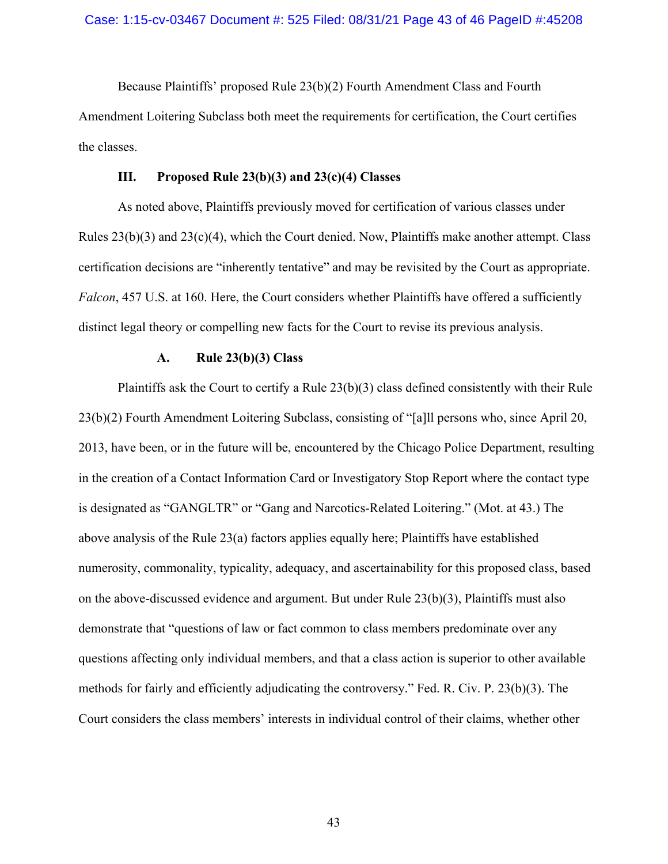Because Plaintiffs' proposed Rule 23(b)(2) Fourth Amendment Class and Fourth Amendment Loitering Subclass both meet the requirements for certification, the Court certifies the classes.

### **III. Proposed Rule 23(b)(3) and 23(c)(4) Classes**

As noted above, Plaintiffs previously moved for certification of various classes under Rules  $23(b)(3)$  and  $23(c)(4)$ , which the Court denied. Now, Plaintiffs make another attempt. Class certification decisions are "inherently tentative" and may be revisited by the Court as appropriate. *Falcon*, 457 U.S. at 160. Here, the Court considers whether Plaintiffs have offered a sufficiently distinct legal theory or compelling new facts for the Court to revise its previous analysis.

#### **A. Rule 23(b)(3) Class**

Plaintiffs ask the Court to certify a Rule  $23(b)(3)$  class defined consistently with their Rule 23(b)(2) Fourth Amendment Loitering Subclass, consisting of "[a]ll persons who, since April 20, 2013, have been, or in the future will be, encountered by the Chicago Police Department, resulting in the creation of a Contact Information Card or Investigatory Stop Report where the contact type is designated as "GANGLTR" or "Gang and Narcotics-Related Loitering." (Mot. at 43.) The above analysis of the Rule 23(a) factors applies equally here; Plaintiffs have established numerosity, commonality, typicality, adequacy, and ascertainability for this proposed class, based on the above-discussed evidence and argument. But under Rule 23(b)(3), Plaintiffs must also demonstrate that "questions of law or fact common to class members predominate over any questions affecting only individual members, and that a class action is superior to other available methods for fairly and efficiently adjudicating the controversy." Fed. R. Civ. P. 23(b)(3). The Court considers the class members' interests in individual control of their claims, whether other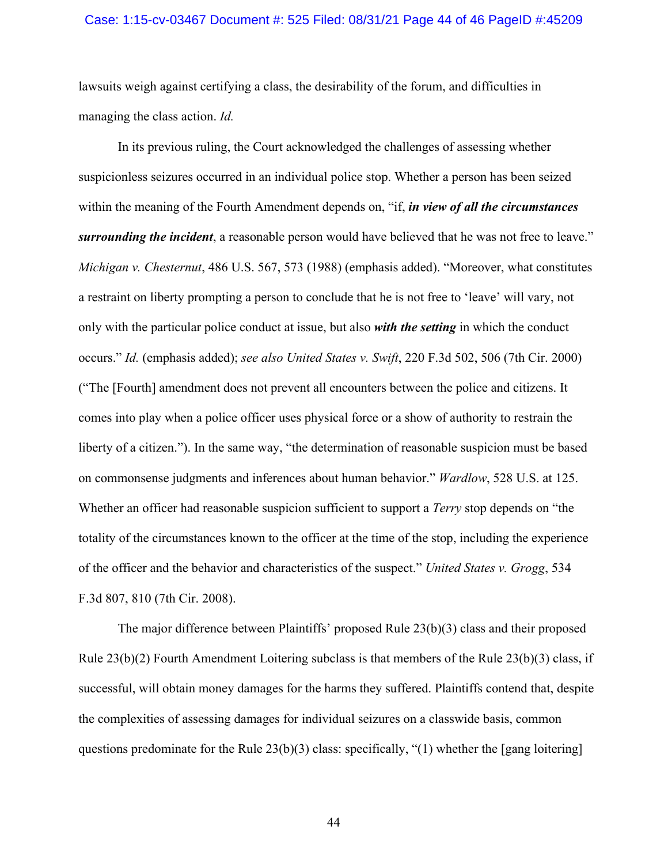#### Case: 1:15-cv-03467 Document #: 525 Filed: 08/31/21 Page 44 of 46 PageID #:45209

lawsuits weigh against certifying a class, the desirability of the forum, and difficulties in managing the class action. *Id.*

In its previous ruling, the Court acknowledged the challenges of assessing whether suspicionless seizures occurred in an individual police stop. Whether a person has been seized within the meaning of the Fourth Amendment depends on, "if, *in view of all the circumstances surrounding the incident*, a reasonable person would have believed that he was not free to leave." *Michigan v. Chesternut*, 486 U.S. 567, 573 (1988) (emphasis added). "Moreover, what constitutes a restraint on liberty prompting a person to conclude that he is not free to 'leave' will vary, not only with the particular police conduct at issue, but also *with the setting* in which the conduct occurs." *Id.* (emphasis added); *see also United States v. Swift*, 220 F.3d 502, 506 (7th Cir. 2000) ("The [Fourth] amendment does not prevent all encounters between the police and citizens. It comes into play when a police officer uses physical force or a show of authority to restrain the liberty of a citizen."). In the same way, "the determination of reasonable suspicion must be based on commonsense judgments and inferences about human behavior." *Wardlow*, 528 U.S. at 125. Whether an officer had reasonable suspicion sufficient to support a *Terry* stop depends on "the totality of the circumstances known to the officer at the time of the stop, including the experience of the officer and the behavior and characteristics of the suspect." *United States v. Grogg*, 534 F.3d 807, 810 (7th Cir. 2008).

The major difference between Plaintiffs' proposed Rule 23(b)(3) class and their proposed Rule  $23(b)(2)$  Fourth Amendment Loitering subclass is that members of the Rule  $23(b)(3)$  class, if successful, will obtain money damages for the harms they suffered. Plaintiffs contend that, despite the complexities of assessing damages for individual seizures on a classwide basis, common questions predominate for the Rule 23(b)(3) class: specifically, "(1) whether the [gang loitering]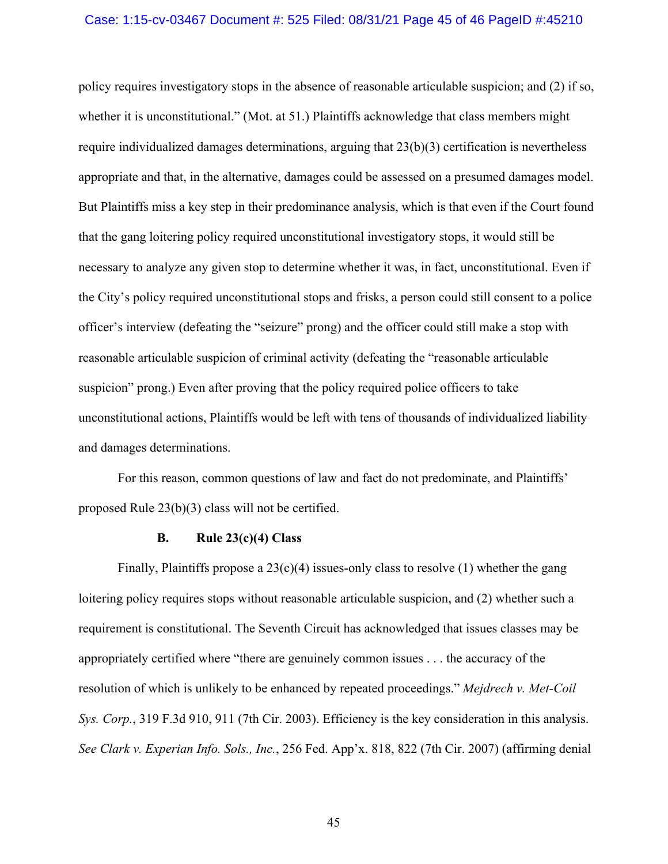#### Case: 1:15-cv-03467 Document #: 525 Filed: 08/31/21 Page 45 of 46 PageID #:45210

policy requires investigatory stops in the absence of reasonable articulable suspicion; and (2) if so, whether it is unconstitutional." (Mot. at 51.) Plaintiffs acknowledge that class members might require individualized damages determinations, arguing that 23(b)(3) certification is nevertheless appropriate and that, in the alternative, damages could be assessed on a presumed damages model. But Plaintiffs miss a key step in their predominance analysis, which is that even if the Court found that the gang loitering policy required unconstitutional investigatory stops, it would still be necessary to analyze any given stop to determine whether it was, in fact, unconstitutional. Even if the City's policy required unconstitutional stops and frisks, a person could still consent to a police officer's interview (defeating the "seizure" prong) and the officer could still make a stop with reasonable articulable suspicion of criminal activity (defeating the "reasonable articulable suspicion" prong.) Even after proving that the policy required police officers to take unconstitutional actions, Plaintiffs would be left with tens of thousands of individualized liability and damages determinations.

For this reason, common questions of law and fact do not predominate, and Plaintiffs' proposed Rule 23(b)(3) class will not be certified.

#### **B. Rule 23(c)(4) Class**

Finally, Plaintiffs propose a  $23(c)(4)$  issues-only class to resolve (1) whether the gang loitering policy requires stops without reasonable articulable suspicion, and (2) whether such a requirement is constitutional. The Seventh Circuit has acknowledged that issues classes may be appropriately certified where "there are genuinely common issues . . . the accuracy of the resolution of which is unlikely to be enhanced by repeated proceedings." *Mejdrech v. Met-Coil Sys. Corp.*, 319 F.3d 910, 911 (7th Cir. 2003). Efficiency is the key consideration in this analysis. *See Clark v. Experian Info. Sols., Inc.*, 256 Fed. App'x. 818, 822 (7th Cir. 2007) (affirming denial